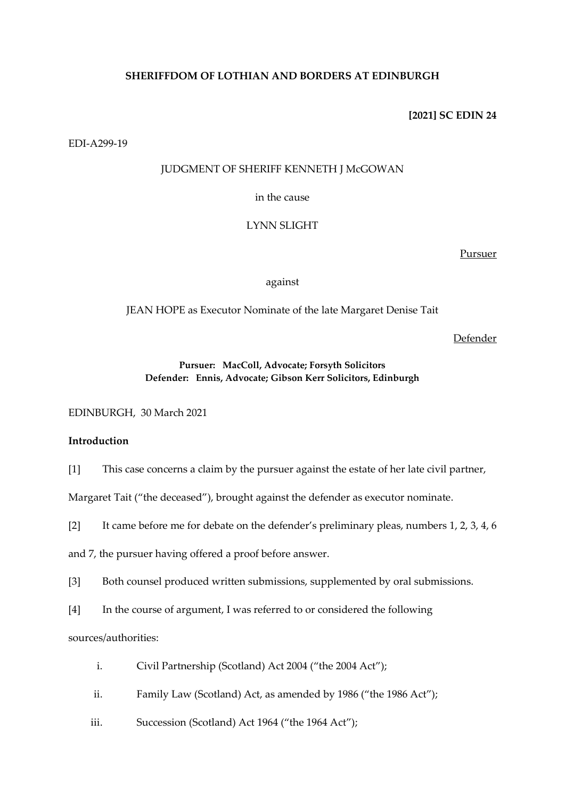# **SHERIFFDOM OF LOTHIAN AND BORDERS AT EDINBURGH**

**[2021] SC EDIN 24**

EDI-A299-19

# JUDGMENT OF SHERIFF KENNETH J McGOWAN

in the cause

LYNN SLIGHT

Pursuer

against

JEAN HOPE as Executor Nominate of the late Margaret Denise Tait

Defender

# **Pursuer: MacColl, Advocate; Forsyth Solicitors Defender: Ennis, Advocate; Gibson Kerr Solicitors, Edinburgh**

EDINBURGH, 30 March 2021

# **Introduction**

[1] This case concerns a claim by the pursuer against the estate of her late civil partner,

Margaret Tait ("the deceased"), brought against the defender as executor nominate.

[2] It came before me for debate on the defender's preliminary pleas, numbers 1, 2, 3, 4, 6

and 7, the pursuer having offered a proof before answer.

[3] Both counsel produced written submissions, supplemented by oral submissions.

[4] In the course of argument, I was referred to or considered the following

sources/authorities:

- i. Civil Partnership (Scotland) Act 2004 ("the 2004 Act");
- ii. Family Law (Scotland) Act, as amended by 1986 ("the 1986 Act");
- iii. Succession (Scotland) Act 1964 ("the 1964 Act");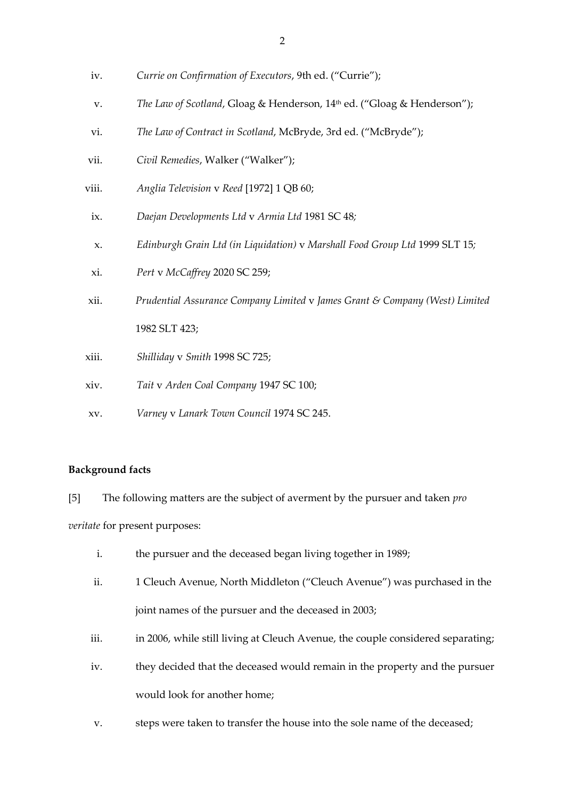- iv. *Currie on Confirmation of Executors*, 9th ed. ("Currie");
- v. *The Law of Scotland*, Gloag & Henderson, 14th ed. ("Gloag & Henderson");
- vi. *The Law of Contract in Scotland*, McBryde, 3rd ed. ("McBryde");
- vii. *Civil Remedies*, Walker ("Walker");
- viii. *Anglia Television* v *Reed* [1972] 1 QB 60;
- ix. *Daejan Developments Ltd* v *Armia Ltd* 1981 SC 48*;*
- x. *Edinburgh Grain Ltd (in Liquidation)* v *Marshall Food Group Ltd* 1999 SLT 15*;*
- xi. *Pert* v *McCaffrey* 2020 SC 259;
- xii. *Prudential Assurance Company Limited* v *James Grant & Company (West) Limited*  1982 SLT 423;
- xiii. *Shilliday* v *Smith* 1998 SC 725;
- xiv. *Tait* v *Arden Coal Company* 1947 SC 100;
- xv. *Varney* v *Lanark Town Council* 1974 SC 245.

## **Background facts**

[5] The following matters are the subject of averment by the pursuer and taken *pro veritate* for present purposes:

- i. the pursuer and the deceased began living together in 1989;
- ii. 1 Cleuch Avenue, North Middleton ("Cleuch Avenue") was purchased in the joint names of the pursuer and the deceased in 2003;
- iii. in 2006, while still living at Cleuch Avenue, the couple considered separating;
- iv. they decided that the deceased would remain in the property and the pursuer would look for another home;
- v. steps were taken to transfer the house into the sole name of the deceased;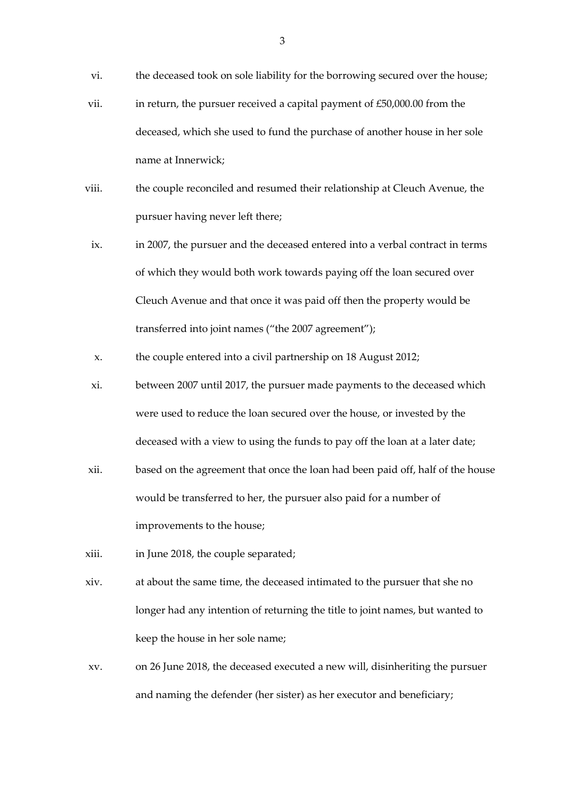- vi. the deceased took on sole liability for the borrowing secured over the house;
- vii. in return, the pursuer received a capital payment of  $£50,000.00$  from the deceased, which she used to fund the purchase of another house in her sole name at Innerwick;
- viii. the couple reconciled and resumed their relationship at Cleuch Avenue, the pursuer having never left there;
- ix. in 2007, the pursuer and the deceased entered into a verbal contract in terms of which they would both work towards paying off the loan secured over Cleuch Avenue and that once it was paid off then the property would be transferred into joint names ("the 2007 agreement");
- x. the couple entered into a civil partnership on 18 August 2012;
- xi. between 2007 until 2017, the pursuer made payments to the deceased which were used to reduce the loan secured over the house, or invested by the deceased with a view to using the funds to pay off the loan at a later date;
- xii. based on the agreement that once the loan had been paid off, half of the house would be transferred to her, the pursuer also paid for a number of improvements to the house;
- xiii. in June 2018, the couple separated;
- xiv. at about the same time, the deceased intimated to the pursuer that she no longer had any intention of returning the title to joint names, but wanted to keep the house in her sole name;
- xv. on 26 June 2018, the deceased executed a new will, disinheriting the pursuer and naming the defender (her sister) as her executor and beneficiary;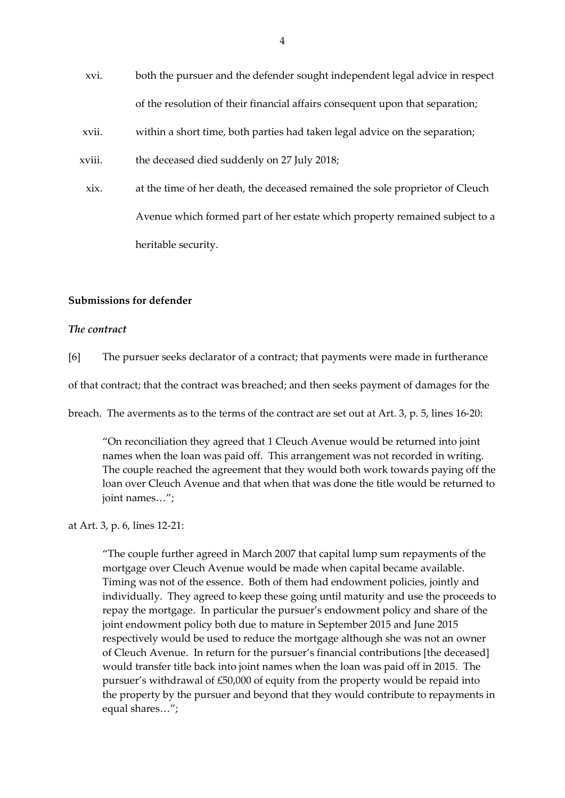- xvi. both the pursuer and the defender sought independent legal advice in respect of the resolution of their financial affairs consequent upon that separation;
- xvii. within a short time, both parties had taken legal advice on the separation;
- xviii. the deceased died suddenly on 27 July 2018;
- xix. at the time of her death, the deceased remained the sole proprietor of Cleuch Avenue which formed part of her estate which property remained subject to a heritable security.

# **Submissions for defender**

## *The contract*

[6] The pursuer seeks declarator of a contract; that payments were made in furtherance

of that contract; that the contract was breached; and then seeks payment of damages for the

breach. The averments as to the terms of the contract are set out at Art. 3, p. 5, lines 16-20:

"On reconciliation they agreed that 1 Cleuch Avenue would be returned into joint names when the loan was paid off. This arrangement was not recorded in writing. The couple reached the agreement that they would both work towards paying off the loan over Cleuch Avenue and that when that was done the title would be returned to joint names…";

at Art. 3, p. 6, lines 12-21:

"The couple further agreed in March 2007 that capital lump sum repayments of the mortgage over Cleuch Avenue would be made when capital became available. Timing was not of the essence. Both of them had endowment policies, jointly and individually. They agreed to keep these going until maturity and use the proceeds to repay the mortgage. In particular the pursuer's endowment policy and share of the joint endowment policy both due to mature in September 2015 and June 2015 respectively would be used to reduce the mortgage although she was not an owner of Cleuch Avenue. In return for the pursuer's financial contributions [the deceased] would transfer title back into joint names when the loan was paid off in 2015. The pursuer's withdrawal of £50,000 of equity from the property would be repaid into the property by the pursuer and beyond that they would contribute to repayments in equal shares…";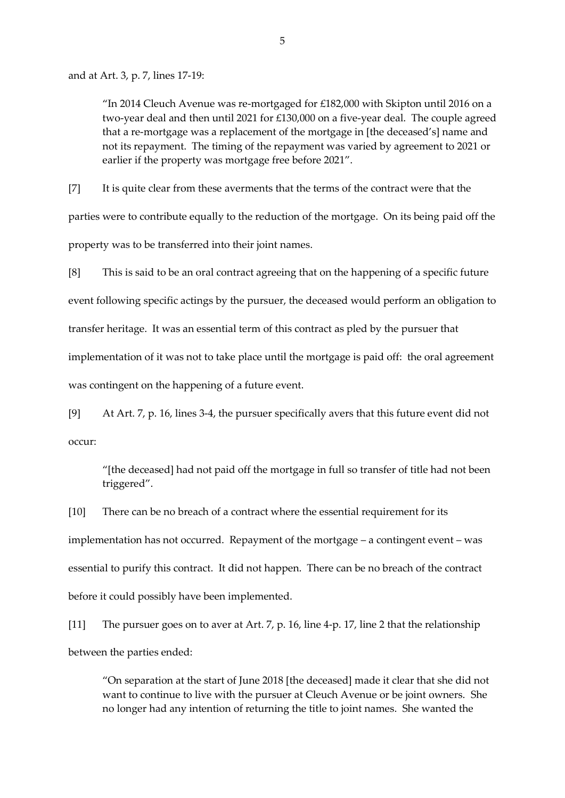and at Art. 3, p. 7, lines 17-19:

"In 2014 Cleuch Avenue was re-mortgaged for £182,000 with Skipton until 2016 on a two-year deal and then until 2021 for £130,000 on a five-year deal. The couple agreed that a re-mortgage was a replacement of the mortgage in [the deceased's] name and not its repayment. The timing of the repayment was varied by agreement to 2021 or earlier if the property was mortgage free before 2021".

[7] It is quite clear from these averments that the terms of the contract were that the parties were to contribute equally to the reduction of the mortgage. On its being paid off the property was to be transferred into their joint names.

[8] This is said to be an oral contract agreeing that on the happening of a specific future event following specific actings by the pursuer, the deceased would perform an obligation to transfer heritage. It was an essential term of this contract as pled by the pursuer that implementation of it was not to take place until the mortgage is paid off: the oral agreement was contingent on the happening of a future event.

[9] At Art. 7, p. 16, lines 3-4, the pursuer specifically avers that this future event did not occur:

"[the deceased] had not paid off the mortgage in full so transfer of title had not been triggered".

[10] There can be no breach of a contract where the essential requirement for its implementation has not occurred. Repayment of the mortgage – a contingent event – was essential to purify this contract. It did not happen. There can be no breach of the contract before it could possibly have been implemented.

[11] The pursuer goes on to aver at Art. 7, p. 16, line 4-p. 17, line 2 that the relationship between the parties ended:

"On separation at the start of June 2018 [the deceased] made it clear that she did not want to continue to live with the pursuer at Cleuch Avenue or be joint owners. She no longer had any intention of returning the title to joint names. She wanted the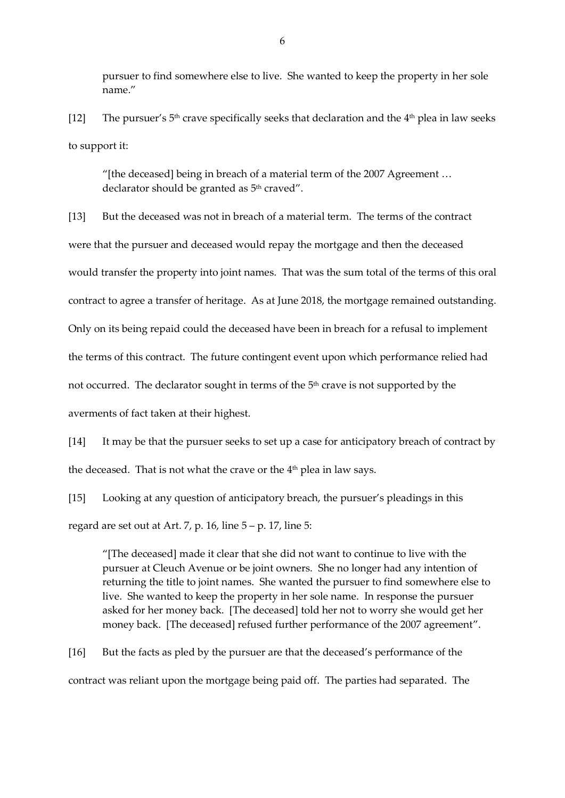pursuer to find somewhere else to live. She wanted to keep the property in her sole name."

[12] The pursuer's  $5<sup>th</sup>$  crave specifically seeks that declaration and the  $4<sup>th</sup>$  plea in law seeks to support it:

"[the deceased] being in breach of a material term of the 2007 Agreement … declarator should be granted as 5<sup>th</sup> craved".

[13] But the deceased was not in breach of a material term. The terms of the contract were that the pursuer and deceased would repay the mortgage and then the deceased would transfer the property into joint names. That was the sum total of the terms of this oral contract to agree a transfer of heritage. As at June 2018, the mortgage remained outstanding. Only on its being repaid could the deceased have been in breach for a refusal to implement the terms of this contract. The future contingent event upon which performance relied had not occurred. The declarator sought in terms of the  $5<sup>th</sup>$  crave is not supported by the averments of fact taken at their highest.

[14] It may be that the pursuer seeks to set up a case for anticipatory breach of contract by the deceased. That is not what the crave or the 4 th plea in law says.

[15] Looking at any question of anticipatory breach, the pursuer's pleadings in this regard are set out at Art. 7, p. 16, line  $5 - p$ . 17, line 5:

"[The deceased] made it clear that she did not want to continue to live with the pursuer at Cleuch Avenue or be joint owners. She no longer had any intention of returning the title to joint names. She wanted the pursuer to find somewhere else to live. She wanted to keep the property in her sole name. In response the pursuer asked for her money back. [The deceased] told her not to worry she would get her money back. [The deceased] refused further performance of the 2007 agreement".

[16] But the facts as pled by the pursuer are that the deceased's performance of the contract was reliant upon the mortgage being paid off. The parties had separated. The

6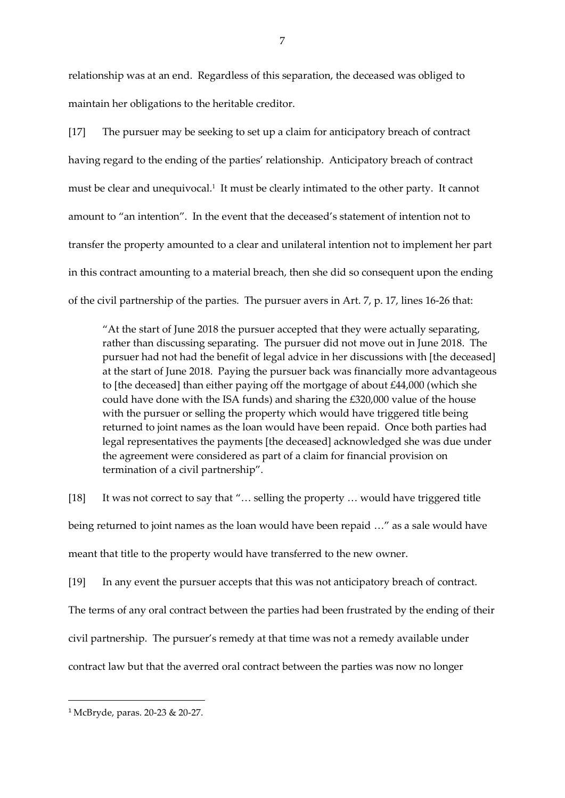relationship was at an end. Regardless of this separation, the deceased was obliged to maintain her obligations to the heritable creditor.

[17] The pursuer may be seeking to set up a claim for anticipatory breach of contract having regard to the ending of the parties' relationship. Anticipatory breach of contract must be clear and unequivocal.<sup>1</sup> It must be clearly intimated to the other party. It cannot amount to "an intention". In the event that the deceased's statement of intention not to transfer the property amounted to a clear and unilateral intention not to implement her part in this contract amounting to a material breach, then she did so consequent upon the ending of the civil partnership of the parties. The pursuer avers in Art. 7, p. 17, lines 16-26 that:

"At the start of June 2018 the pursuer accepted that they were actually separating, rather than discussing separating. The pursuer did not move out in June 2018. The pursuer had not had the benefit of legal advice in her discussions with [the deceased] at the start of June 2018. Paying the pursuer back was financially more advantageous to [the deceased] than either paying off the mortgage of about £44,000 (which she could have done with the ISA funds) and sharing the £320,000 value of the house with the pursuer or selling the property which would have triggered title being returned to joint names as the loan would have been repaid. Once both parties had legal representatives the payments [the deceased] acknowledged she was due under the agreement were considered as part of a claim for financial provision on termination of a civil partnership".

[18] It was not correct to say that "... selling the property ... would have triggered title being returned to joint names as the loan would have been repaid …" as a sale would have meant that title to the property would have transferred to the new owner.

[19] In any event the pursuer accepts that this was not anticipatory breach of contract. The terms of any oral contract between the parties had been frustrated by the ending of their civil partnership. The pursuer's remedy at that time was not a remedy available under contract law but that the averred oral contract between the parties was now no longer

 $\overline{\phantom{a}}$ 

<sup>1</sup> McBryde, paras. 20-23 & 20-27.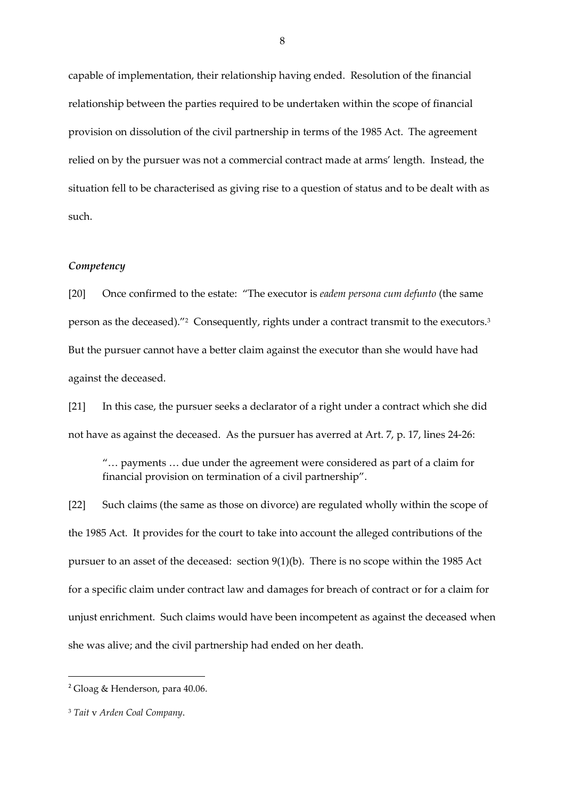capable of implementation, their relationship having ended. Resolution of the financial relationship between the parties required to be undertaken within the scope of financial provision on dissolution of the civil partnership in terms of the 1985 Act. The agreement relied on by the pursuer was not a commercial contract made at arms' length. Instead, the situation fell to be characterised as giving rise to a question of status and to be dealt with as such.

### *Competency*

[20] Once confirmed to the estate: "The executor is *eadem persona cum defunto* (the same person as the deceased)."<sup>2</sup> Consequently, rights under a contract transmit to the executors.<sup>3</sup> But the pursuer cannot have a better claim against the executor than she would have had against the deceased.

[21] In this case, the pursuer seeks a declarator of a right under a contract which she did not have as against the deceased. As the pursuer has averred at Art. 7, p. 17, lines 24-26:

"… payments … due under the agreement were considered as part of a claim for financial provision on termination of a civil partnership".

[22] Such claims (the same as those on divorce) are regulated wholly within the scope of the 1985 Act. It provides for the court to take into account the alleged contributions of the pursuer to an asset of the deceased: section 9(1)(b). There is no scope within the 1985 Act for a specific claim under contract law and damages for breach of contract or for a claim for unjust enrichment. Such claims would have been incompetent as against the deceased when she was alive; and the civil partnership had ended on her death.

**.** 

<sup>2</sup> Gloag & Henderson, para 40.06.

<sup>3</sup> *Tait* v *Arden Coal Company*.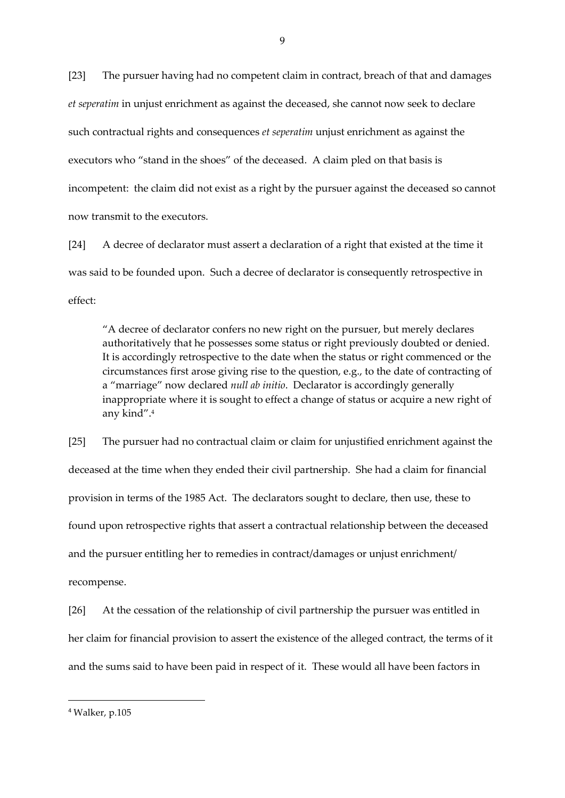[23] The pursuer having had no competent claim in contract, breach of that and damages *et seperatim* in unjust enrichment as against the deceased, she cannot now seek to declare such contractual rights and consequences *et seperatim* unjust enrichment as against the executors who "stand in the shoes" of the deceased. A claim pled on that basis is incompetent: the claim did not exist as a right by the pursuer against the deceased so cannot now transmit to the executors.

[24] A decree of declarator must assert a declaration of a right that existed at the time it was said to be founded upon. Such a decree of declarator is consequently retrospective in effect:

"A decree of declarator confers no new right on the pursuer, but merely declares authoritatively that he possesses some status or right previously doubted or denied. It is accordingly retrospective to the date when the status or right commenced or the circumstances first arose giving rise to the question, e.g., to the date of contracting of a "marriage" now declared *null ab initio*. Declarator is accordingly generally inappropriate where it is sought to effect a change of status or acquire a new right of any kind". 4

[25] The pursuer had no contractual claim or claim for unjustified enrichment against the deceased at the time when they ended their civil partnership. She had a claim for financial provision in terms of the 1985 Act. The declarators sought to declare, then use, these to found upon retrospective rights that assert a contractual relationship between the deceased and the pursuer entitling her to remedies in contract/damages or unjust enrichment/ recompense.

[26] At the cessation of the relationship of civil partnership the pursuer was entitled in her claim for financial provision to assert the existence of the alleged contract, the terms of it and the sums said to have been paid in respect of it. These would all have been factors in

 $\overline{\phantom{a}}$ 

<sup>4</sup> Walker, p.105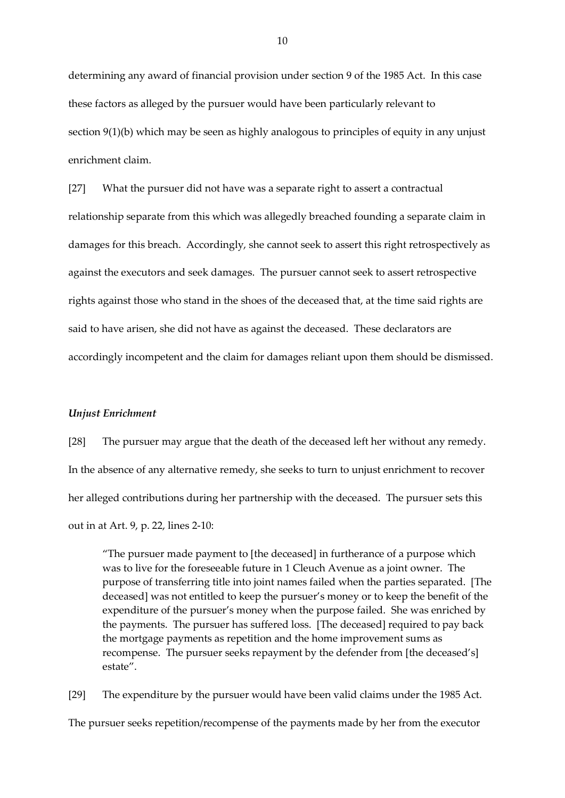determining any award of financial provision under section 9 of the 1985 Act. In this case these factors as alleged by the pursuer would have been particularly relevant to section 9(1)(b) which may be seen as highly analogous to principles of equity in any unjust enrichment claim.

[27] What the pursuer did not have was a separate right to assert a contractual relationship separate from this which was allegedly breached founding a separate claim in damages for this breach. Accordingly, she cannot seek to assert this right retrospectively as against the executors and seek damages. The pursuer cannot seek to assert retrospective rights against those who stand in the shoes of the deceased that, at the time said rights are said to have arisen, she did not have as against the deceased. These declarators are accordingly incompetent and the claim for damages reliant upon them should be dismissed.

### *Unjust Enrichment*

[28] The pursuer may argue that the death of the deceased left her without any remedy. In the absence of any alternative remedy, she seeks to turn to unjust enrichment to recover her alleged contributions during her partnership with the deceased. The pursuer sets this out in at Art. 9, p. 22, lines 2-10:

"The pursuer made payment to [the deceased] in furtherance of a purpose which was to live for the foreseeable future in 1 Cleuch Avenue as a joint owner. The purpose of transferring title into joint names failed when the parties separated. [The deceased] was not entitled to keep the pursuer's money or to keep the benefit of the expenditure of the pursuer's money when the purpose failed. She was enriched by the payments. The pursuer has suffered loss. [The deceased] required to pay back the mortgage payments as repetition and the home improvement sums as recompense. The pursuer seeks repayment by the defender from [the deceased's] estate".

[29] The expenditure by the pursuer would have been valid claims under the 1985 Act. The pursuer seeks repetition/recompense of the payments made by her from the executor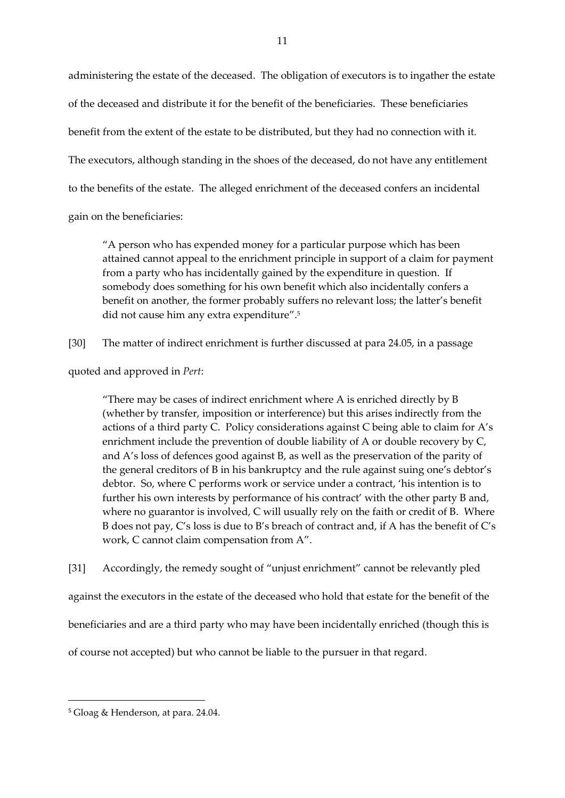administering the estate of the deceased. The obligation of executors is to ingather the estate of the deceased and distribute it for the benefit of the beneficiaries. These beneficiaries benefit from the extent of the estate to be distributed, but they had no connection with it. The executors, although standing in the shoes of the deceased, do not have any entitlement to the benefits of the estate. The alleged enrichment of the deceased confers an incidental gain on the beneficiaries:

"A person who has expended money for a particular purpose which has been attained cannot appeal to the enrichment principle in support of a claim for payment from a party who has incidentally gained by the expenditure in question. If somebody does something for his own benefit which also incidentally confers a benefit on another, the former probably suffers no relevant loss; the latter's benefit did not cause him any extra expenditure".<sup>5</sup>

[30] The matter of indirect enrichment is further discussed at para 24.05, in a passage

quoted and approved in *Pert*:

"There may be cases of indirect enrichment where A is enriched directly by B (whether by transfer, imposition or interference) but this arises indirectly from the actions of a third party C. Policy considerations against C being able to claim for A's enrichment include the prevention of double liability of A or double recovery by C, and A's loss of defences good against B, as well as the preservation of the parity of the general creditors of B in his bankruptcy and the rule against suing one's debtor's debtor. So, where C performs work or service under a contract, 'his intention is to further his own interests by performance of his contract' with the other party B and, where no guarantor is involved, C will usually rely on the faith or credit of B. Where B does not pay, C's loss is due to B's breach of contract and, if A has the benefit of C's work, C cannot claim compensation from A".

[31] Accordingly, the remedy sought of "unjust enrichment" cannot be relevantly pled

against the executors in the estate of the deceased who hold that estate for the benefit of the

beneficiaries and are a third party who may have been incidentally enriched (though this is

of course not accepted) but who cannot be liable to the pursuer in that regard.

 $\overline{\phantom{a}}$ 

<sup>5</sup> Gloag & Henderson, at para. 24.04.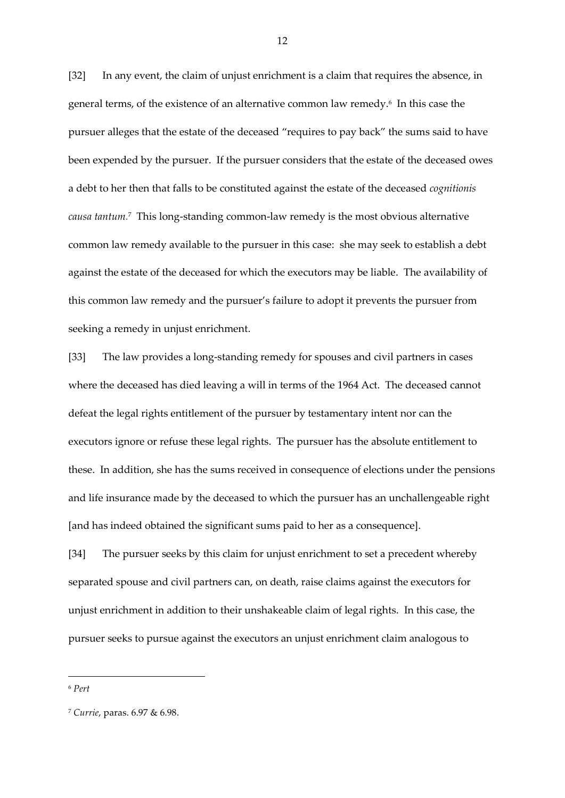[32] In any event, the claim of unjust enrichment is a claim that requires the absence, in general terms, of the existence of an alternative common law remedy.<sup>6</sup> In this case the pursuer alleges that the estate of the deceased "requires to pay back" the sums said to have been expended by the pursuer. If the pursuer considers that the estate of the deceased owes a debt to her then that falls to be constituted against the estate of the deceased *cognitionis causa tantum.* <sup>7</sup> This long-standing common-law remedy is the most obvious alternative common law remedy available to the pursuer in this case: she may seek to establish a debt against the estate of the deceased for which the executors may be liable. The availability of this common law remedy and the pursuer's failure to adopt it prevents the pursuer from seeking a remedy in unjust enrichment.

[33] The law provides a long-standing remedy for spouses and civil partners in cases where the deceased has died leaving a will in terms of the 1964 Act. The deceased cannot defeat the legal rights entitlement of the pursuer by testamentary intent nor can the executors ignore or refuse these legal rights. The pursuer has the absolute entitlement to these. In addition, she has the sums received in consequence of elections under the pensions and life insurance made by the deceased to which the pursuer has an unchallengeable right [and has indeed obtained the significant sums paid to her as a consequence].

[34] The pursuer seeks by this claim for unjust enrichment to set a precedent whereby separated spouse and civil partners can, on death, raise claims against the executors for unjust enrichment in addition to their unshakeable claim of legal rights. In this case, the pursuer seeks to pursue against the executors an unjust enrichment claim analogous to

**.** 

<sup>6</sup> *Pert*

<sup>7</sup> *Currie*, paras. 6.97 & 6.98.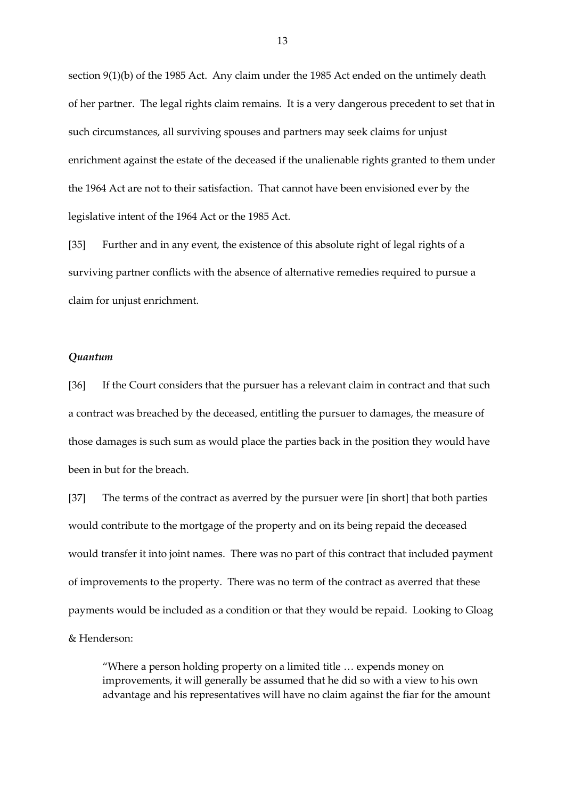section 9(1)(b) of the 1985 Act. Any claim under the 1985 Act ended on the untimely death of her partner. The legal rights claim remains. It is a very dangerous precedent to set that in such circumstances, all surviving spouses and partners may seek claims for unjust enrichment against the estate of the deceased if the unalienable rights granted to them under the 1964 Act are not to their satisfaction. That cannot have been envisioned ever by the legislative intent of the 1964 Act or the 1985 Act.

[35] Further and in any event, the existence of this absolute right of legal rights of a surviving partner conflicts with the absence of alternative remedies required to pursue a claim for unjust enrichment.

# *Quantum*

[36] If the Court considers that the pursuer has a relevant claim in contract and that such a contract was breached by the deceased, entitling the pursuer to damages, the measure of those damages is such sum as would place the parties back in the position they would have been in but for the breach.

[37] The terms of the contract as averred by the pursuer were [in short] that both parties would contribute to the mortgage of the property and on its being repaid the deceased would transfer it into joint names. There was no part of this contract that included payment of improvements to the property. There was no term of the contract as averred that these payments would be included as a condition or that they would be repaid. Looking to Gloag & Henderson:

"Where a person holding property on a limited title … expends money on improvements, it will generally be assumed that he did so with a view to his own advantage and his representatives will have no claim against the fiar for the amount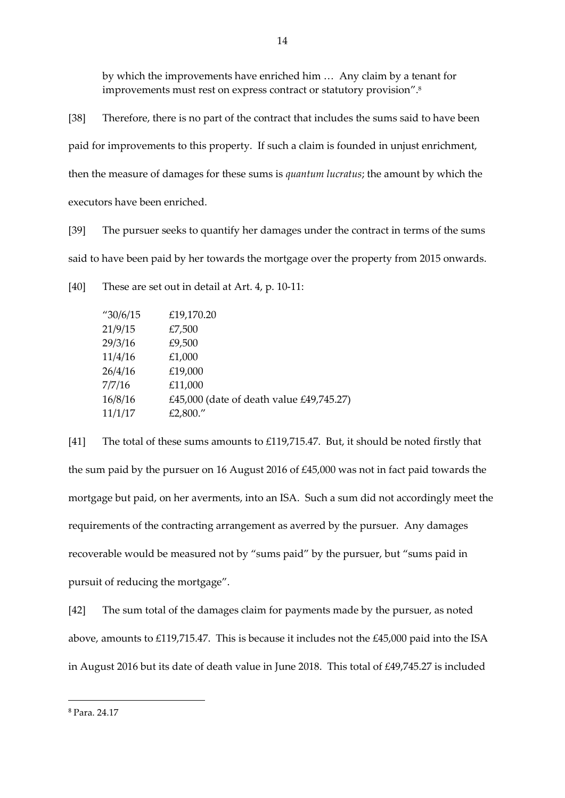by which the improvements have enriched him … Any claim by a tenant for improvements must rest on express contract or statutory provision". 8

[38] Therefore, there is no part of the contract that includes the sums said to have been paid for improvements to this property. If such a claim is founded in unjust enrichment, then the measure of damages for these sums is *quantum lucratus*; the amount by which the executors have been enriched.

[39] The pursuer seeks to quantify her damages under the contract in terms of the sums said to have been paid by her towards the mortgage over the property from 2015 onwards.

[40] These are set out in detail at Art. 4, p. 10-11:

| $^{\prime\prime}30/6/15$ | £19,170.20                               |
|--------------------------|------------------------------------------|
| 21/9/15                  | £7,500                                   |
| 29/3/16                  | £9,500                                   |
| 11/4/16                  | £1,000                                   |
| 26/4/16                  | £19,000                                  |
| 7/7/16                   | £11,000                                  |
| 16/8/16                  | £45,000 (date of death value £49,745.27) |
| 11/1/17                  | £2,800."                                 |

[41] The total of these sums amounts to £119,715.47. But, it should be noted firstly that the sum paid by the pursuer on 16 August 2016 of £45,000 was not in fact paid towards the mortgage but paid, on her averments, into an ISA. Such a sum did not accordingly meet the requirements of the contracting arrangement as averred by the pursuer. Any damages recoverable would be measured not by "sums paid" by the pursuer, but "sums paid in pursuit of reducing the mortgage".

[42] The sum total of the damages claim for payments made by the pursuer, as noted above, amounts to £119,715.47. This is because it includes not the £45,000 paid into the ISA in August 2016 but its date of death value in June 2018. This total of £49,745.27 is included

 $\overline{\phantom{a}}$ 

<sup>8</sup> Para. 24.17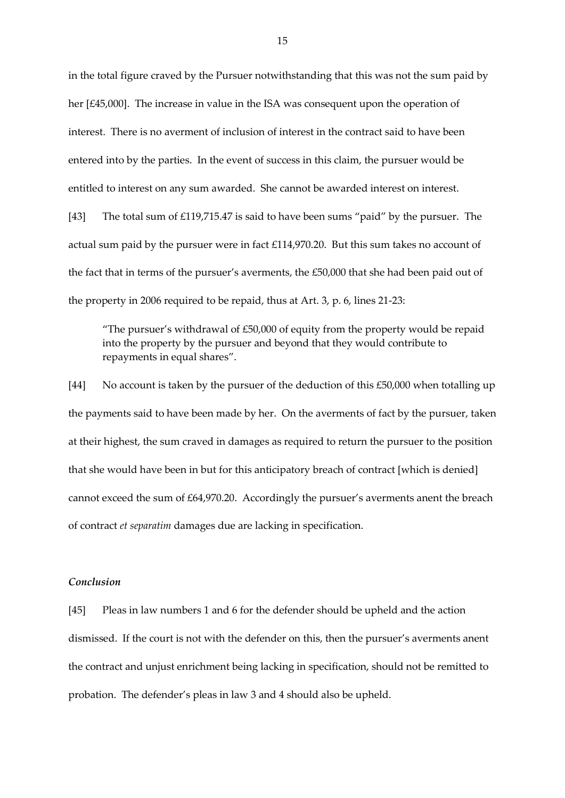in the total figure craved by the Pursuer notwithstanding that this was not the sum paid by her [£45,000]. The increase in value in the ISA was consequent upon the operation of interest. There is no averment of inclusion of interest in the contract said to have been entered into by the parties. In the event of success in this claim, the pursuer would be entitled to interest on any sum awarded. She cannot be awarded interest on interest. [43] The total sum of £119,715.47 is said to have been sums "paid" by the pursuer. The actual sum paid by the pursuer were in fact £114,970.20. But this sum takes no account of the fact that in terms of the pursuer's averments, the £50,000 that she had been paid out of

"The pursuer's withdrawal of £50,000 of equity from the property would be repaid into the property by the pursuer and beyond that they would contribute to repayments in equal shares".

the property in 2006 required to be repaid, thus at Art. 3, p. 6, lines 21-23:

[44] No account is taken by the pursuer of the deduction of this £50,000 when totalling up the payments said to have been made by her. On the averments of fact by the pursuer, taken at their highest, the sum craved in damages as required to return the pursuer to the position that she would have been in but for this anticipatory breach of contract [which is denied] cannot exceed the sum of £64,970.20. Accordingly the pursuer's averments anent the breach of contract *et separatim* damages due are lacking in specification.

## *Conclusion*

[45] Pleas in law numbers 1 and 6 for the defender should be upheld and the action dismissed. If the court is not with the defender on this, then the pursuer's averments anent the contract and unjust enrichment being lacking in specification, should not be remitted to probation. The defender's pleas in law 3 and 4 should also be upheld.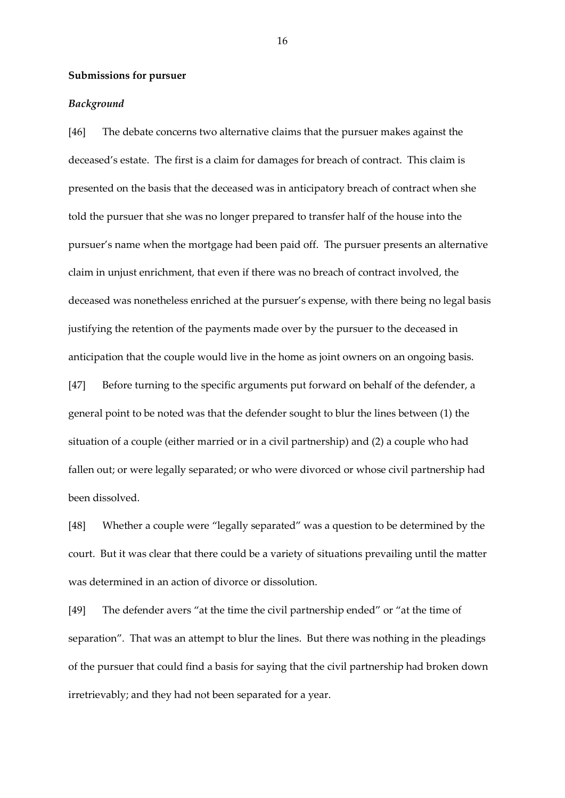### **Submissions for pursuer**

### *Background*

[46] The debate concerns two alternative claims that the pursuer makes against the deceased's estate. The first is a claim for damages for breach of contract. This claim is presented on the basis that the deceased was in anticipatory breach of contract when she told the pursuer that she was no longer prepared to transfer half of the house into the pursuer's name when the mortgage had been paid off. The pursuer presents an alternative claim in unjust enrichment, that even if there was no breach of contract involved, the deceased was nonetheless enriched at the pursuer's expense, with there being no legal basis justifying the retention of the payments made over by the pursuer to the deceased in anticipation that the couple would live in the home as joint owners on an ongoing basis.

[47] Before turning to the specific arguments put forward on behalf of the defender, a general point to be noted was that the defender sought to blur the lines between (1) the situation of a couple (either married or in a civil partnership) and (2) a couple who had fallen out; or were legally separated; or who were divorced or whose civil partnership had been dissolved.

[48] Whether a couple were "legally separated" was a question to be determined by the court. But it was clear that there could be a variety of situations prevailing until the matter was determined in an action of divorce or dissolution.

[49] The defender avers "at the time the civil partnership ended" or "at the time of separation". That was an attempt to blur the lines. But there was nothing in the pleadings of the pursuer that could find a basis for saying that the civil partnership had broken down irretrievably; and they had not been separated for a year.

16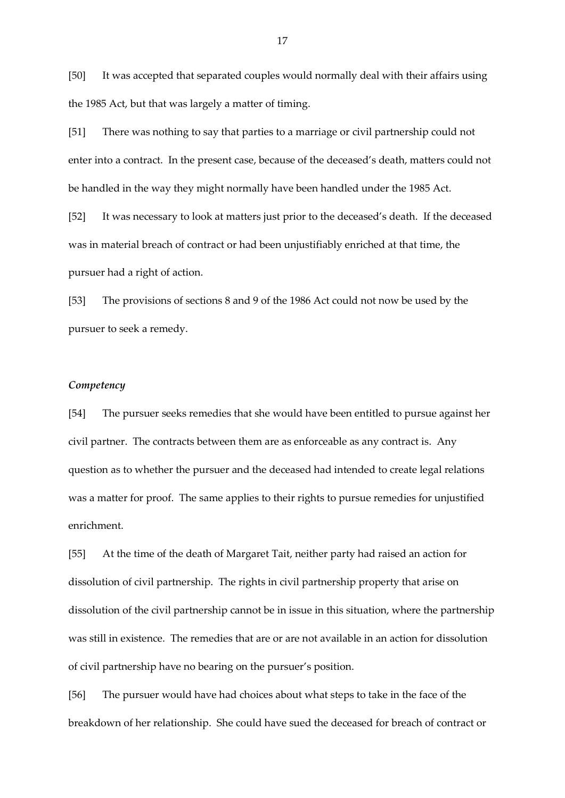[50] It was accepted that separated couples would normally deal with their affairs using the 1985 Act, but that was largely a matter of timing.

[51] There was nothing to say that parties to a marriage or civil partnership could not enter into a contract. In the present case, because of the deceased's death, matters could not be handled in the way they might normally have been handled under the 1985 Act.

[52] It was necessary to look at matters just prior to the deceased's death. If the deceased was in material breach of contract or had been unjustifiably enriched at that time, the pursuer had a right of action.

[53] The provisions of sections 8 and 9 of the 1986 Act could not now be used by the pursuer to seek a remedy.

# *Competency*

[54] The pursuer seeks remedies that she would have been entitled to pursue against her civil partner. The contracts between them are as enforceable as any contract is. Any question as to whether the pursuer and the deceased had intended to create legal relations was a matter for proof. The same applies to their rights to pursue remedies for unjustified enrichment.

[55] At the time of the death of Margaret Tait, neither party had raised an action for dissolution of civil partnership. The rights in civil partnership property that arise on dissolution of the civil partnership cannot be in issue in this situation, where the partnership was still in existence. The remedies that are or are not available in an action for dissolution of civil partnership have no bearing on the pursuer's position.

[56] The pursuer would have had choices about what steps to take in the face of the breakdown of her relationship. She could have sued the deceased for breach of contract or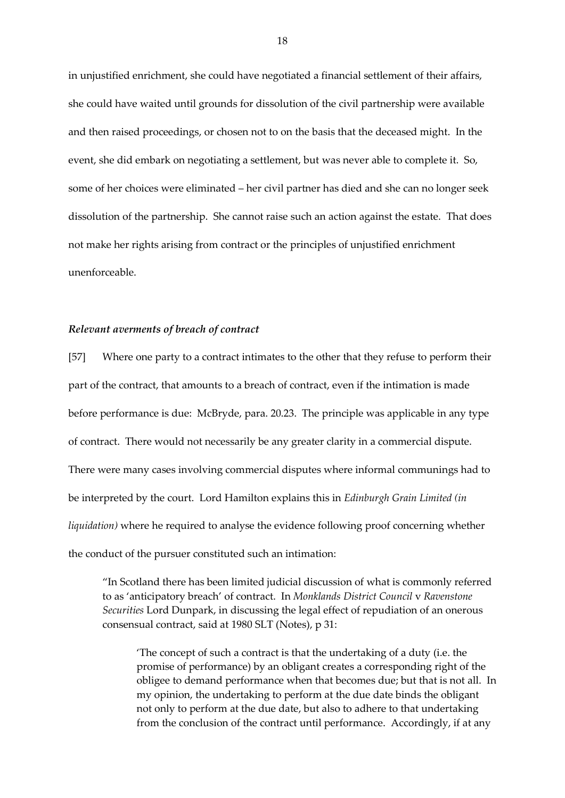in unjustified enrichment, she could have negotiated a financial settlement of their affairs, she could have waited until grounds for dissolution of the civil partnership were available and then raised proceedings, or chosen not to on the basis that the deceased might. In the event, she did embark on negotiating a settlement, but was never able to complete it. So, some of her choices were eliminated – her civil partner has died and she can no longer seek dissolution of the partnership. She cannot raise such an action against the estate. That does not make her rights arising from contract or the principles of unjustified enrichment unenforceable.

### *Relevant averments of breach of contract*

[57] Where one party to a contract intimates to the other that they refuse to perform their part of the contract, that amounts to a breach of contract, even if the intimation is made before performance is due: McBryde, para. 20.23. The principle was applicable in any type of contract. There would not necessarily be any greater clarity in a commercial dispute. There were many cases involving commercial disputes where informal communings had to be interpreted by the court. Lord Hamilton explains this in *Edinburgh Grain Limited (in liquidation)* where he required to analyse the evidence following proof concerning whether the conduct of the pursuer constituted such an intimation:

"In Scotland there has been limited judicial discussion of what is commonly referred to as 'anticipatory breach' of contract. In *Monklands District Council* v *Ravenstone Securities* Lord Dunpark, in discussing the legal effect of repudiation of an onerous consensual contract, said at 1980 SLT (Notes), p 31:

'The concept of such a contract is that the undertaking of a duty (i.e. the promise of performance) by an obligant creates a corresponding right of the obligee to demand performance when that becomes due; but that is not all. In my opinion, the undertaking to perform at the due date binds the obligant not only to perform at the due date, but also to adhere to that undertaking from the conclusion of the contract until performance. Accordingly, if at any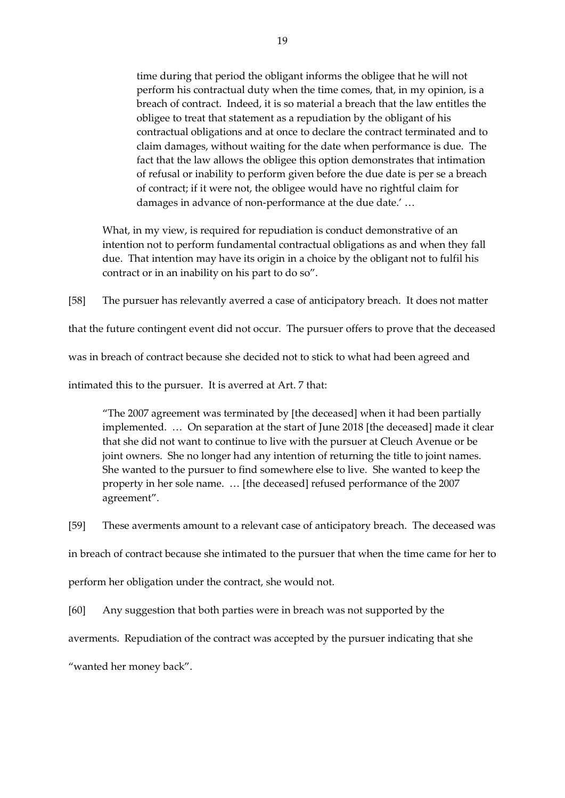time during that period the obligant informs the obligee that he will not perform his contractual duty when the time comes, that, in my opinion, is a breach of contract. Indeed, it is so material a breach that the law entitles the obligee to treat that statement as a repudiation by the obligant of his contractual obligations and at once to declare the contract terminated and to claim damages, without waiting for the date when performance is due. The fact that the law allows the obligee this option demonstrates that intimation of refusal or inability to perform given before the due date is per se a breach of contract; if it were not, the obligee would have no rightful claim for damages in advance of non-performance at the due date.' …

What, in my view, is required for repudiation is conduct demonstrative of an intention not to perform fundamental contractual obligations as and when they fall due. That intention may have its origin in a choice by the obligant not to fulfil his contract or in an inability on his part to do so".

[58] The pursuer has relevantly averred a case of anticipatory breach. It does not matter

that the future contingent event did not occur. The pursuer offers to prove that the deceased

was in breach of contract because she decided not to stick to what had been agreed and

intimated this to the pursuer. It is averred at Art. 7 that:

"The 2007 agreement was terminated by [the deceased] when it had been partially implemented. … On separation at the start of June 2018 [the deceased] made it clear that she did not want to continue to live with the pursuer at Cleuch Avenue or be joint owners. She no longer had any intention of returning the title to joint names. She wanted to the pursuer to find somewhere else to live. She wanted to keep the property in her sole name. … [the deceased] refused performance of the 2007 agreement".

[59] These averments amount to a relevant case of anticipatory breach. The deceased was

in breach of contract because she intimated to the pursuer that when the time came for her to

perform her obligation under the contract, she would not.

[60] Any suggestion that both parties were in breach was not supported by the

averments. Repudiation of the contract was accepted by the pursuer indicating that she

"wanted her money back".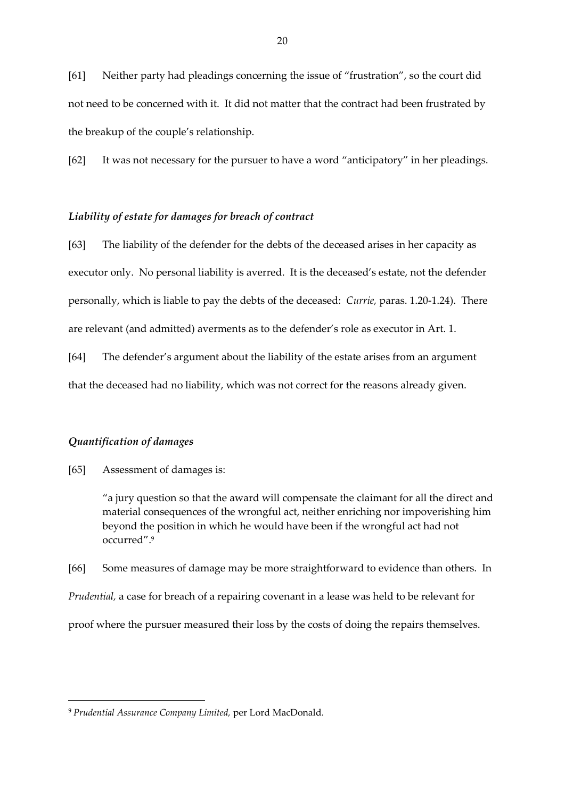[61] Neither party had pleadings concerning the issue of "frustration", so the court did not need to be concerned with it. It did not matter that the contract had been frustrated by the breakup of the couple's relationship.

[62] It was not necessary for the pursuer to have a word "anticipatory" in her pleadings.

## *Liability of estate for damages for breach of contract*

[63] The liability of the defender for the debts of the deceased arises in her capacity as executor only. No personal liability is averred. It is the deceased's estate, not the defender personally, which is liable to pay the debts of the deceased: *Currie,* paras. 1.20-1.24). There are relevant (and admitted) averments as to the defender's role as executor in Art. 1.

[64] The defender's argument about the liability of the estate arises from an argument that the deceased had no liability, which was not correct for the reasons already given.

## *Quantification of damages*

 $\overline{\phantom{a}}$ 

[65] Assessment of damages is:

"a jury question so that the award will compensate the claimant for all the direct and material consequences of the wrongful act, neither enriching nor impoverishing him beyond the position in which he would have been if the wrongful act had not occurred". 9

[66] Some measures of damage may be more straightforward to evidence than others. In *Prudential,* a case for breach of a repairing covenant in a lease was held to be relevant for proof where the pursuer measured their loss by the costs of doing the repairs themselves.

<sup>9</sup> *Prudential Assurance Company Limited,* per Lord MacDonald.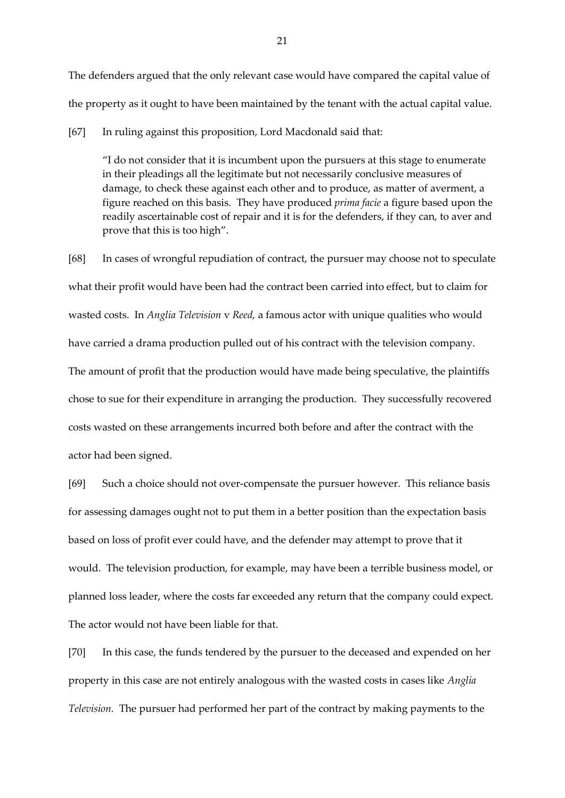The defenders argued that the only relevant case would have compared the capital value of the property as it ought to have been maintained by the tenant with the actual capital value.

[67] In ruling against this proposition, Lord Macdonald said that:

"I do not consider that it is incumbent upon the pursuers at this stage to enumerate in their pleadings all the legitimate but not necessarily conclusive measures of damage, to check these against each other and to produce, as matter of averment, a figure reached on this basis. They have produced *prima facie* a figure based upon the readily ascertainable cost of repair and it is for the defenders, if they can, to aver and prove that this is too high".

[68] In cases of wrongful repudiation of contract, the pursuer may choose not to speculate what their profit would have been had the contract been carried into effect, but to claim for wasted costs. In *Anglia Television* v *Reed,* a famous actor with unique qualities who would have carried a drama production pulled out of his contract with the television company. The amount of profit that the production would have made being speculative, the plaintiffs chose to sue for their expenditure in arranging the production. They successfully recovered costs wasted on these arrangements incurred both before and after the contract with the actor had been signed.

[69] Such a choice should not over-compensate the pursuer however. This reliance basis for assessing damages ought not to put them in a better position than the expectation basis based on loss of profit ever could have, and the defender may attempt to prove that it would. The television production, for example, may have been a terrible business model, or planned loss leader, where the costs far exceeded any return that the company could expect. The actor would not have been liable for that.

[70] In this case, the funds tendered by the pursuer to the deceased and expended on her property in this case are not entirely analogous with the wasted costs in cases like *Anglia Television.* The pursuer had performed her part of the contract by making payments to the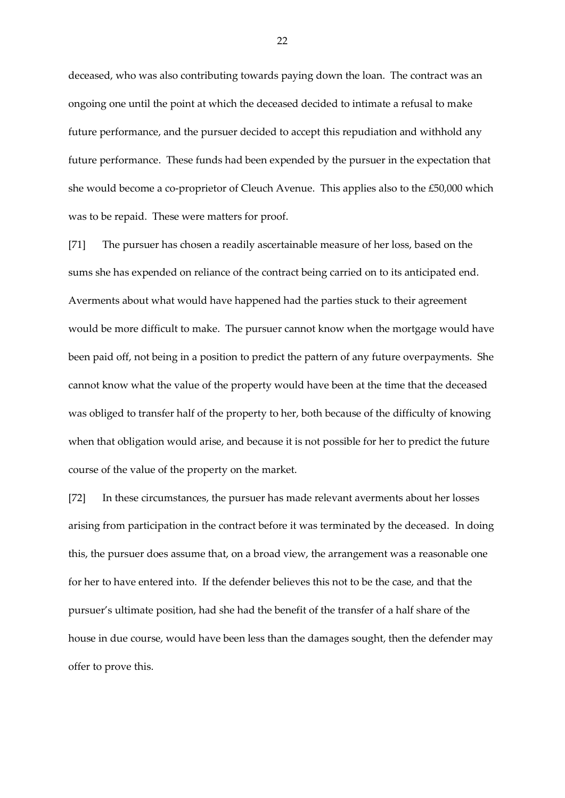deceased, who was also contributing towards paying down the loan. The contract was an ongoing one until the point at which the deceased decided to intimate a refusal to make future performance, and the pursuer decided to accept this repudiation and withhold any future performance. These funds had been expended by the pursuer in the expectation that she would become a co-proprietor of Cleuch Avenue. This applies also to the £50,000 which was to be repaid. These were matters for proof.

[71] The pursuer has chosen a readily ascertainable measure of her loss, based on the sums she has expended on reliance of the contract being carried on to its anticipated end. Averments about what would have happened had the parties stuck to their agreement would be more difficult to make. The pursuer cannot know when the mortgage would have been paid off, not being in a position to predict the pattern of any future overpayments. She cannot know what the value of the property would have been at the time that the deceased was obliged to transfer half of the property to her, both because of the difficulty of knowing when that obligation would arise, and because it is not possible for her to predict the future course of the value of the property on the market.

[72] In these circumstances, the pursuer has made relevant averments about her losses arising from participation in the contract before it was terminated by the deceased. In doing this, the pursuer does assume that, on a broad view, the arrangement was a reasonable one for her to have entered into. If the defender believes this not to be the case, and that the pursuer's ultimate position, had she had the benefit of the transfer of a half share of the house in due course, would have been less than the damages sought, then the defender may offer to prove this.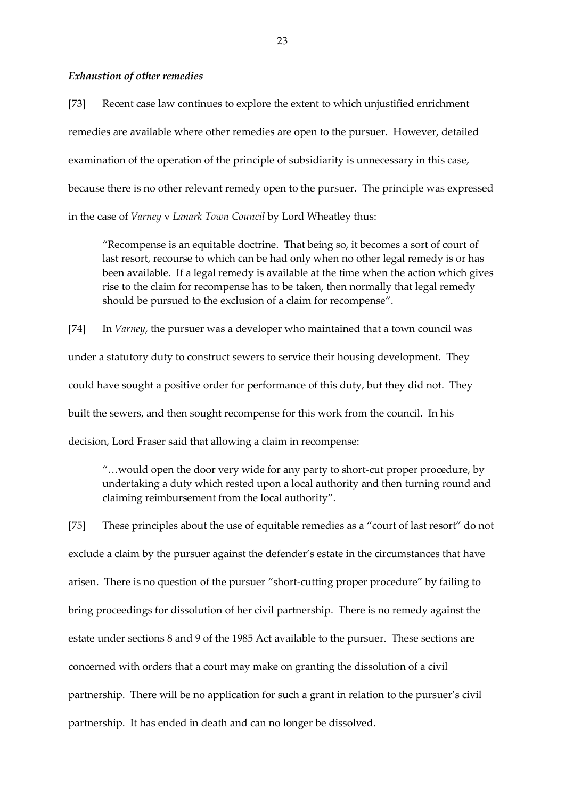#### *Exhaustion of other remedies*

[73] Recent case law continues to explore the extent to which unjustified enrichment remedies are available where other remedies are open to the pursuer. However, detailed examination of the operation of the principle of subsidiarity is unnecessary in this case, because there is no other relevant remedy open to the pursuer. The principle was expressed in the case of *Varney* v *Lanark Town Council* by Lord Wheatley thus:

"Recompense is an equitable doctrine. That being so, it becomes a sort of court of last resort, recourse to which can be had only when no other legal remedy is or has been available. If a legal remedy is available at the time when the action which gives rise to the claim for recompense has to be taken, then normally that legal remedy should be pursued to the exclusion of a claim for recompense".

[74] In *Varney*, the pursuer was a developer who maintained that a town council was under a statutory duty to construct sewers to service their housing development. They could have sought a positive order for performance of this duty, but they did not. They built the sewers, and then sought recompense for this work from the council. In his decision, Lord Fraser said that allowing a claim in recompense:

"…would open the door very wide for any party to short-cut proper procedure, by undertaking a duty which rested upon a local authority and then turning round and claiming reimbursement from the local authority".

[75] These principles about the use of equitable remedies as a "court of last resort" do not exclude a claim by the pursuer against the defender's estate in the circumstances that have arisen. There is no question of the pursuer "short-cutting proper procedure" by failing to bring proceedings for dissolution of her civil partnership. There is no remedy against the estate under sections 8 and 9 of the 1985 Act available to the pursuer. These sections are concerned with orders that a court may make on granting the dissolution of a civil partnership. There will be no application for such a grant in relation to the pursuer's civil partnership. It has ended in death and can no longer be dissolved.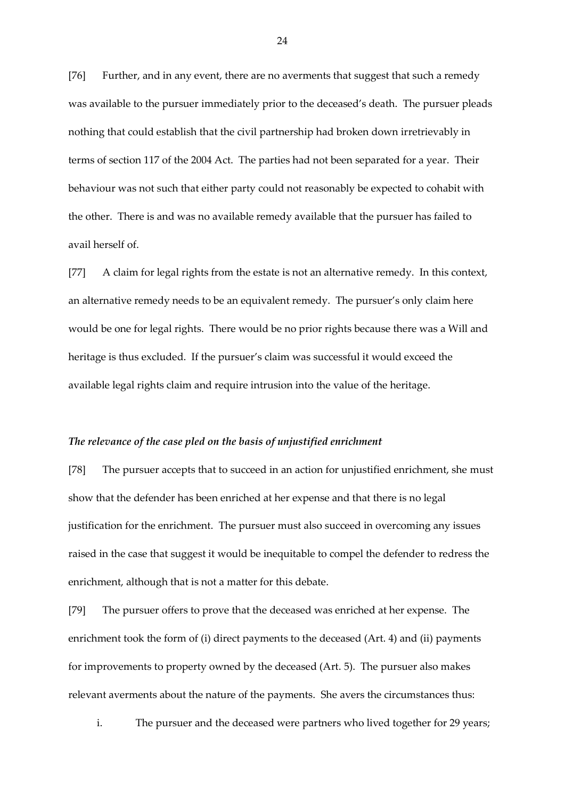[76] Further, and in any event, there are no averments that suggest that such a remedy was available to the pursuer immediately prior to the deceased's death. The pursuer pleads nothing that could establish that the civil partnership had broken down irretrievably in terms of section 117 of the 2004 Act. The parties had not been separated for a year. Their behaviour was not such that either party could not reasonably be expected to cohabit with the other. There is and was no available remedy available that the pursuer has failed to avail herself of.

[77] A claim for legal rights from the estate is not an alternative remedy. In this context, an alternative remedy needs to be an equivalent remedy. The pursuer's only claim here would be one for legal rights. There would be no prior rights because there was a Will and heritage is thus excluded. If the pursuer's claim was successful it would exceed the available legal rights claim and require intrusion into the value of the heritage.

#### *The relevance of the case pled on the basis of unjustified enrichment*

[78] The pursuer accepts that to succeed in an action for unjustified enrichment, she must show that the defender has been enriched at her expense and that there is no legal justification for the enrichment. The pursuer must also succeed in overcoming any issues raised in the case that suggest it would be inequitable to compel the defender to redress the enrichment, although that is not a matter for this debate.

[79] The pursuer offers to prove that the deceased was enriched at her expense. The enrichment took the form of (i) direct payments to the deceased (Art. 4) and (ii) payments for improvements to property owned by the deceased (Art. 5). The pursuer also makes relevant averments about the nature of the payments. She avers the circumstances thus:

i. The pursuer and the deceased were partners who lived together for 29 years;

24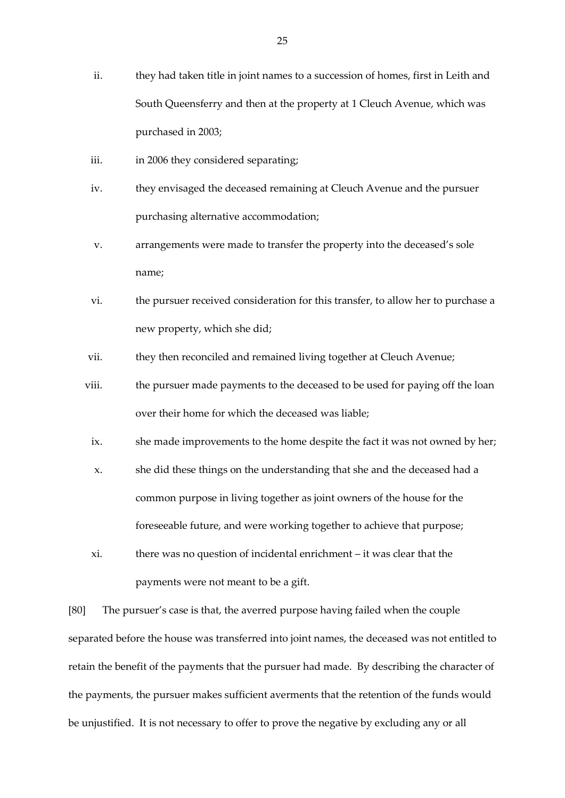- ii. they had taken title in joint names to a succession of homes, first in Leith and South Queensferry and then at the property at 1 Cleuch Avenue, which was purchased in 2003;
- iii. in 2006 they considered separating;
- iv. they envisaged the deceased remaining at Cleuch Avenue and the pursuer purchasing alternative accommodation;
- v. arrangements were made to transfer the property into the deceased's sole name;
- vi. the pursuer received consideration for this transfer, to allow her to purchase a new property, which she did;
- vii. they then reconciled and remained living together at Cleuch Avenue;
- viii. the pursuer made payments to the deceased to be used for paying off the loan over their home for which the deceased was liable;
- ix. she made improvements to the home despite the fact it was not owned by her;
- x. she did these things on the understanding that she and the deceased had a common purpose in living together as joint owners of the house for the foreseeable future, and were working together to achieve that purpose;
- xi. there was no question of incidental enrichment it was clear that the payments were not meant to be a gift.

[80] The pursuer's case is that, the averred purpose having failed when the couple separated before the house was transferred into joint names, the deceased was not entitled to retain the benefit of the payments that the pursuer had made. By describing the character of the payments, the pursuer makes sufficient averments that the retention of the funds would be unjustified. It is not necessary to offer to prove the negative by excluding any or all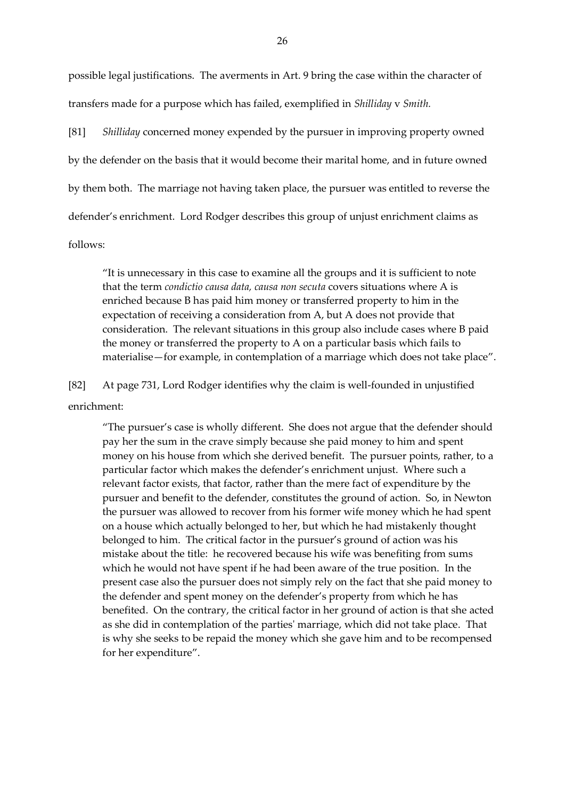possible legal justifications. The averments in Art. 9 bring the case within the character of transfers made for a purpose which has failed, exemplified in *Shilliday* v *Smith.*

[81] *Shilliday* concerned money expended by the pursuer in improving property owned by the defender on the basis that it would become their marital home, and in future owned by them both. The marriage not having taken place, the pursuer was entitled to reverse the defender's enrichment. Lord Rodger describes this group of unjust enrichment claims as

follows:

"It is unnecessary in this case to examine all the groups and it is sufficient to note that the term *condictio causa data, causa non secuta* covers situations where A is enriched because B has paid him money or transferred property to him in the expectation of receiving a consideration from A, but A does not provide that consideration. The relevant situations in this group also include cases where B paid the money or transferred the property to A on a particular basis which fails to materialise—for example, in contemplation of a marriage which does not take place".

[82] At page 731, Lord Rodger identifies why the claim is well-founded in unjustified enrichment:

"The pursuer's case is wholly different. She does not argue that the defender should pay her the sum in the crave simply because she paid money to him and spent money on his house from which she derived benefit. The pursuer points, rather, to a particular factor which makes the defender's enrichment unjust. Where such a relevant factor exists, that factor, rather than the mere fact of expenditure by the pursuer and benefit to the defender, constitutes the ground of action. So, in Newton the pursuer was allowed to recover from his former wife money which he had spent on a house which actually belonged to her, but which he had mistakenly thought belonged to him. The critical factor in the pursuer's ground of action was his mistake about the title: he recovered because his wife was benefiting from sums which he would not have spent if he had been aware of the true position. In the present case also the pursuer does not simply rely on the fact that she paid money to the defender and spent money on the defender's property from which he has benefited. On the contrary, the critical factor in her ground of action is that she acted as she did in contemplation of the parties' marriage, which did not take place. That is why she seeks to be repaid the money which she gave him and to be recompensed for her expenditure".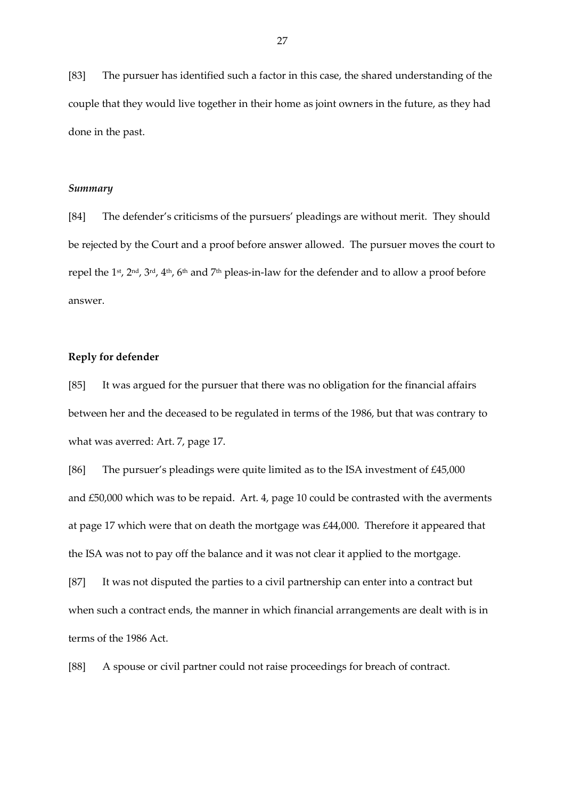[83] The pursuer has identified such a factor in this case, the shared understanding of the couple that they would live together in their home as joint owners in the future, as they had done in the past.

### *Summary*

[84] The defender's criticisms of the pursuers' pleadings are without merit. They should be rejected by the Court and a proof before answer allowed. The pursuer moves the court to repel the 1<sup>st</sup>, 2<sup>nd</sup>, 3<sup>rd</sup>, 4<sup>th</sup>, 6<sup>th</sup> and 7<sup>th</sup> pleas-in-law for the defender and to allow a proof before answer.

# **Reply for defender**

[85] It was argued for the pursuer that there was no obligation for the financial affairs between her and the deceased to be regulated in terms of the 1986, but that was contrary to what was averred: Art. 7, page 17.

[86] The pursuer's pleadings were quite limited as to the ISA investment of £45,000 and £50,000 which was to be repaid. Art. 4, page 10 could be contrasted with the averments at page 17 which were that on death the mortgage was £44,000. Therefore it appeared that the ISA was not to pay off the balance and it was not clear it applied to the mortgage.

[87] It was not disputed the parties to a civil partnership can enter into a contract but when such a contract ends, the manner in which financial arrangements are dealt with is in terms of the 1986 Act.

[88] A spouse or civil partner could not raise proceedings for breach of contract.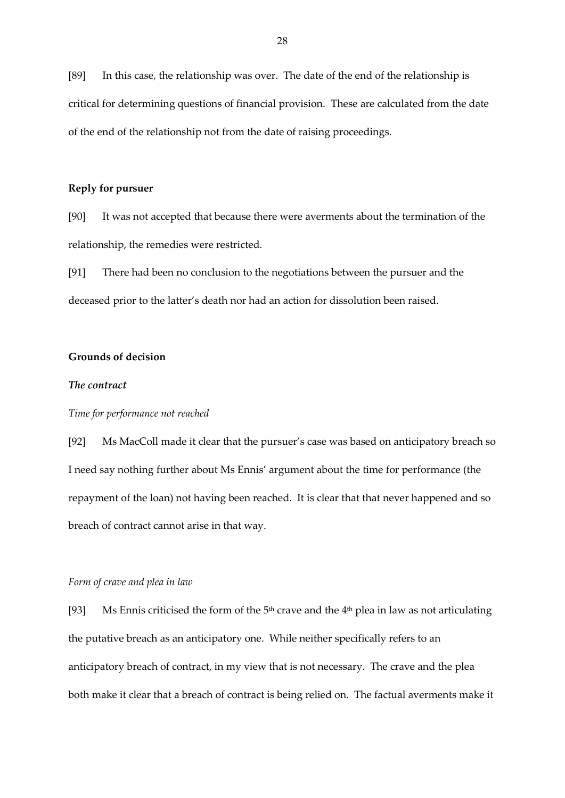[89] In this case, the relationship was over. The date of the end of the relationship is critical for determining questions of financial provision. These are calculated from the date of the end of the relationship not from the date of raising proceedings.

## **Reply for pursuer**

[90] It was not accepted that because there were averments about the termination of the relationship, the remedies were restricted.

[91] There had been no conclusion to the negotiations between the pursuer and the deceased prior to the latter's death nor had an action for dissolution been raised.

# **Grounds of decision**

## *The contract*

## *Time for performance not reached*

[92] Ms MacColl made it clear that the pursuer's case was based on anticipatory breach so I need say nothing further about Ms Ennis' argument about the time for performance (the repayment of the loan) not having been reached. It is clear that that never happened and so breach of contract cannot arise in that way.

### *Form of crave and plea in law*

[93] Ms Ennis criticised the form of the  $5<sup>th</sup>$  crave and the  $4<sup>th</sup>$  plea in law as not articulating the putative breach as an anticipatory one. While neither specifically refers to an anticipatory breach of contract, in my view that is not necessary. The crave and the plea both make it clear that a breach of contract is being relied on. The factual averments make it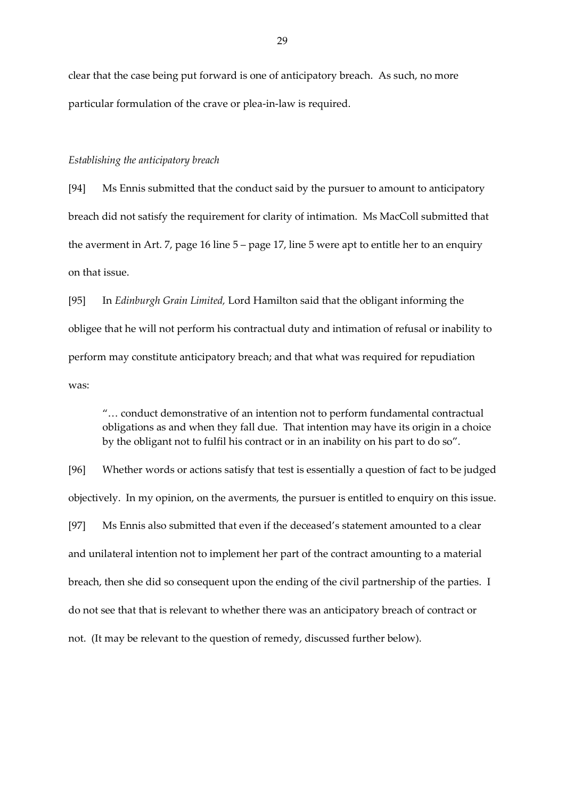clear that the case being put forward is one of anticipatory breach. As such, no more particular formulation of the crave or plea-in-law is required.

### *Establishing the anticipatory breach*

[94] Ms Ennis submitted that the conduct said by the pursuer to amount to anticipatory breach did not satisfy the requirement for clarity of intimation. Ms MacColl submitted that the averment in Art. 7, page 16 line 5 – page 17, line 5 were apt to entitle her to an enquiry on that issue.

[95] In *Edinburgh Grain Limited,* Lord Hamilton said that the obligant informing the obligee that he will not perform his contractual duty and intimation of refusal or inability to perform may constitute anticipatory breach; and that what was required for repudiation was:

"… conduct demonstrative of an intention not to perform fundamental contractual obligations as and when they fall due. That intention may have its origin in a choice by the obligant not to fulfil his contract or in an inability on his part to do so".

[96] Whether words or actions satisfy that test is essentially a question of fact to be judged objectively. In my opinion, on the averments, the pursuer is entitled to enquiry on this issue. [97] Ms Ennis also submitted that even if the deceased's statement amounted to a clear and unilateral intention not to implement her part of the contract amounting to a material breach, then she did so consequent upon the ending of the civil partnership of the parties. I do not see that that is relevant to whether there was an anticipatory breach of contract or not. (It may be relevant to the question of remedy, discussed further below).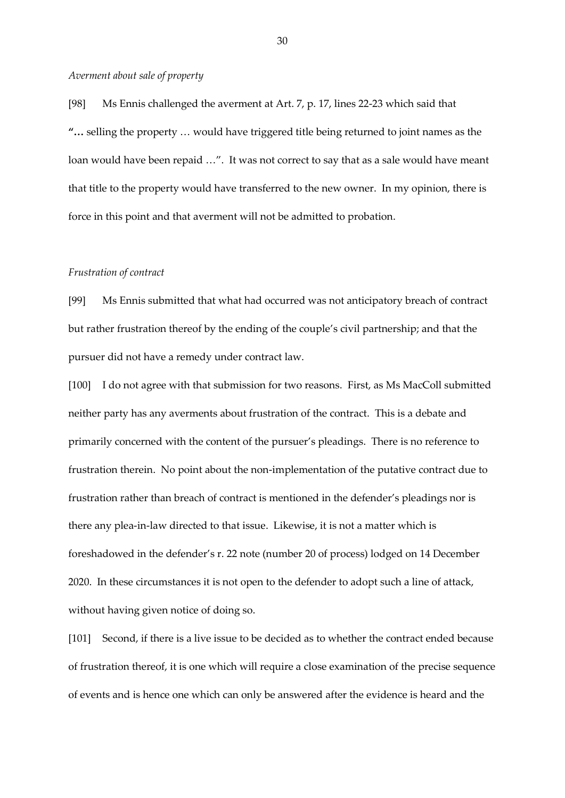### *Averment about sale of property*

[98] Ms Ennis challenged the averment at Art. 7, p. 17, lines 22-23 which said that **"…** selling the property … would have triggered title being returned to joint names as the loan would have been repaid ...". It was not correct to say that as a sale would have meant that title to the property would have transferred to the new owner. In my opinion, there is force in this point and that averment will not be admitted to probation.

### *Frustration of contract*

[99] Ms Ennis submitted that what had occurred was not anticipatory breach of contract but rather frustration thereof by the ending of the couple's civil partnership; and that the pursuer did not have a remedy under contract law.

[100] I do not agree with that submission for two reasons. First, as Ms MacColl submitted neither party has any averments about frustration of the contract. This is a debate and primarily concerned with the content of the pursuer's pleadings. There is no reference to frustration therein. No point about the non-implementation of the putative contract due to frustration rather than breach of contract is mentioned in the defender's pleadings nor is there any plea-in-law directed to that issue. Likewise, it is not a matter which is foreshadowed in the defender's r. 22 note (number 20 of process) lodged on 14 December 2020. In these circumstances it is not open to the defender to adopt such a line of attack, without having given notice of doing so.

[101] Second, if there is a live issue to be decided as to whether the contract ended because of frustration thereof, it is one which will require a close examination of the precise sequence of events and is hence one which can only be answered after the evidence is heard and the

30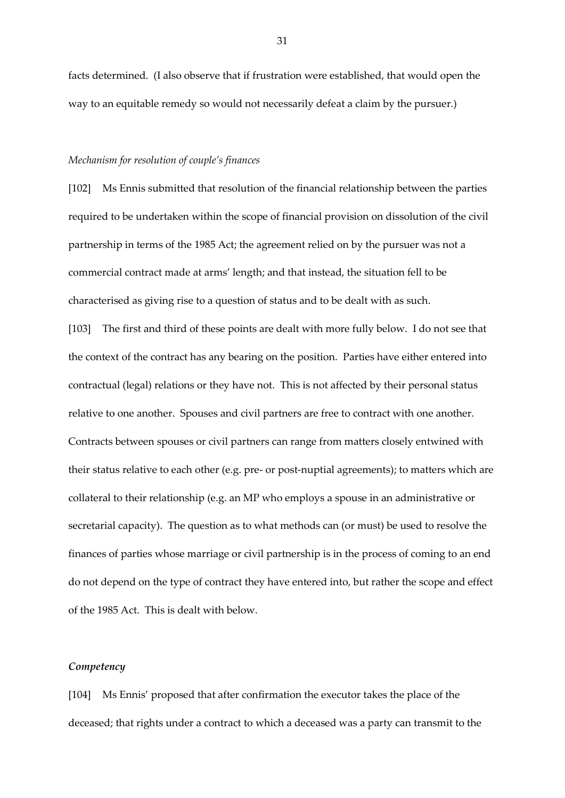facts determined. (I also observe that if frustration were established, that would open the way to an equitable remedy so would not necessarily defeat a claim by the pursuer.)

## *Mechanism for resolution of couple's finances*

[102] Ms Ennis submitted that resolution of the financial relationship between the parties required to be undertaken within the scope of financial provision on dissolution of the civil partnership in terms of the 1985 Act; the agreement relied on by the pursuer was not a commercial contract made at arms' length; and that instead, the situation fell to be characterised as giving rise to a question of status and to be dealt with as such.

[103] The first and third of these points are dealt with more fully below. I do not see that the context of the contract has any bearing on the position. Parties have either entered into contractual (legal) relations or they have not. This is not affected by their personal status relative to one another. Spouses and civil partners are free to contract with one another. Contracts between spouses or civil partners can range from matters closely entwined with their status relative to each other (e.g. pre- or post-nuptial agreements); to matters which are collateral to their relationship (e.g. an MP who employs a spouse in an administrative or secretarial capacity). The question as to what methods can (or must) be used to resolve the finances of parties whose marriage or civil partnership is in the process of coming to an end do not depend on the type of contract they have entered into, but rather the scope and effect of the 1985 Act. This is dealt with below.

## *Competency*

[104] Ms Ennis' proposed that after confirmation the executor takes the place of the deceased; that rights under a contract to which a deceased was a party can transmit to the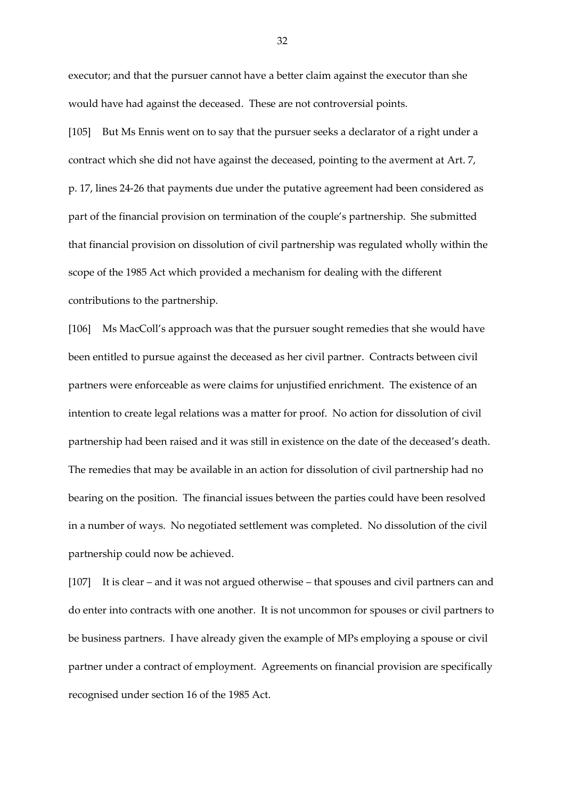executor; and that the pursuer cannot have a better claim against the executor than she would have had against the deceased. These are not controversial points.

[105] But Ms Ennis went on to say that the pursuer seeks a declarator of a right under a contract which she did not have against the deceased, pointing to the averment at Art. 7, p. 17, lines 24-26 that payments due under the putative agreement had been considered as part of the financial provision on termination of the couple's partnership. She submitted that financial provision on dissolution of civil partnership was regulated wholly within the scope of the 1985 Act which provided a mechanism for dealing with the different contributions to the partnership.

[106] Ms MacColl's approach was that the pursuer sought remedies that she would have been entitled to pursue against the deceased as her civil partner. Contracts between civil partners were enforceable as were claims for unjustified enrichment. The existence of an intention to create legal relations was a matter for proof. No action for dissolution of civil partnership had been raised and it was still in existence on the date of the deceased's death. The remedies that may be available in an action for dissolution of civil partnership had no bearing on the position. The financial issues between the parties could have been resolved in a number of ways. No negotiated settlement was completed. No dissolution of the civil partnership could now be achieved.

[107] It is clear – and it was not argued otherwise – that spouses and civil partners can and do enter into contracts with one another. It is not uncommon for spouses or civil partners to be business partners. I have already given the example of MPs employing a spouse or civil partner under a contract of employment. Agreements on financial provision are specifically recognised under section 16 of the 1985 Act.

32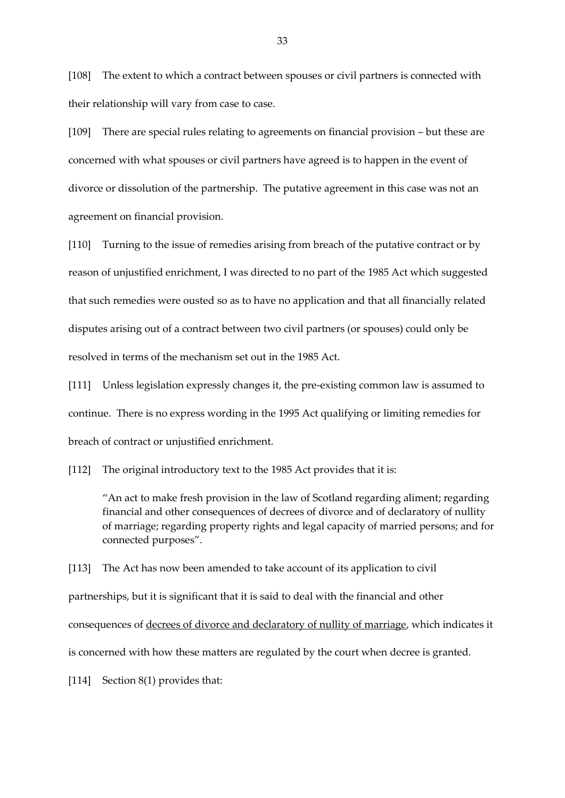[108] The extent to which a contract between spouses or civil partners is connected with their relationship will vary from case to case.

[109] There are special rules relating to agreements on financial provision – but these are concerned with what spouses or civil partners have agreed is to happen in the event of divorce or dissolution of the partnership. The putative agreement in this case was not an agreement on financial provision.

[110] Turning to the issue of remedies arising from breach of the putative contract or by reason of unjustified enrichment, I was directed to no part of the 1985 Act which suggested that such remedies were ousted so as to have no application and that all financially related disputes arising out of a contract between two civil partners (or spouses) could only be resolved in terms of the mechanism set out in the 1985 Act.

[111] Unless legislation expressly changes it, the pre-existing common law is assumed to continue. There is no express wording in the 1995 Act qualifying or limiting remedies for breach of contract or unjustified enrichment.

[112] The original introductory text to the 1985 Act provides that it is:

"An act to make fresh provision in the law of Scotland regarding aliment; regarding financial and other consequences of decrees of divorce and of declaratory of nullity of marriage; regarding property rights and legal capacity of married persons; and for connected purposes".

[113] The Act has now been amended to take account of its application to civil partnerships, but it is significant that it is said to deal with the financial and other consequences of decrees of divorce and declaratory of nullity of marriage, which indicates it is concerned with how these matters are regulated by the court when decree is granted.

[114] Section 8(1) provides that: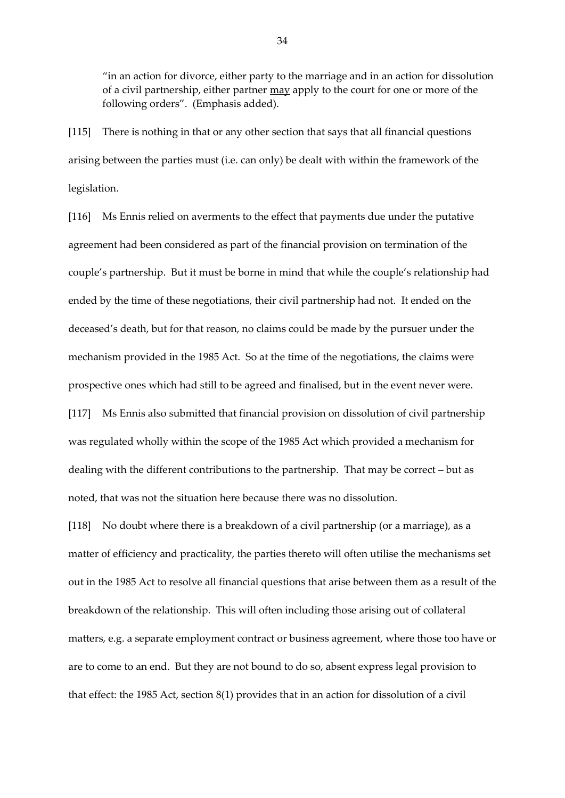"in an action for divorce, either party to the marriage and in an action for dissolution of a civil partnership, either partner may apply to the court for one or more of the following orders". (Emphasis added).

[115] There is nothing in that or any other section that says that all financial questions arising between the parties must (i.e. can only) be dealt with within the framework of the legislation.

[116] Ms Ennis relied on averments to the effect that payments due under the putative agreement had been considered as part of the financial provision on termination of the couple's partnership. But it must be borne in mind that while the couple's relationship had ended by the time of these negotiations, their civil partnership had not. It ended on the deceased's death, but for that reason, no claims could be made by the pursuer under the mechanism provided in the 1985 Act. So at the time of the negotiations, the claims were prospective ones which had still to be agreed and finalised, but in the event never were. [117] Ms Ennis also submitted that financial provision on dissolution of civil partnership was regulated wholly within the scope of the 1985 Act which provided a mechanism for dealing with the different contributions to the partnership. That may be correct – but as noted, that was not the situation here because there was no dissolution.

[118] No doubt where there is a breakdown of a civil partnership (or a marriage), as a matter of efficiency and practicality, the parties thereto will often utilise the mechanisms set out in the 1985 Act to resolve all financial questions that arise between them as a result of the breakdown of the relationship. This will often including those arising out of collateral matters, e.g. a separate employment contract or business agreement, where those too have or are to come to an end. But they are not bound to do so, absent express legal provision to that effect: the 1985 Act, section 8(1) provides that in an action for dissolution of a civil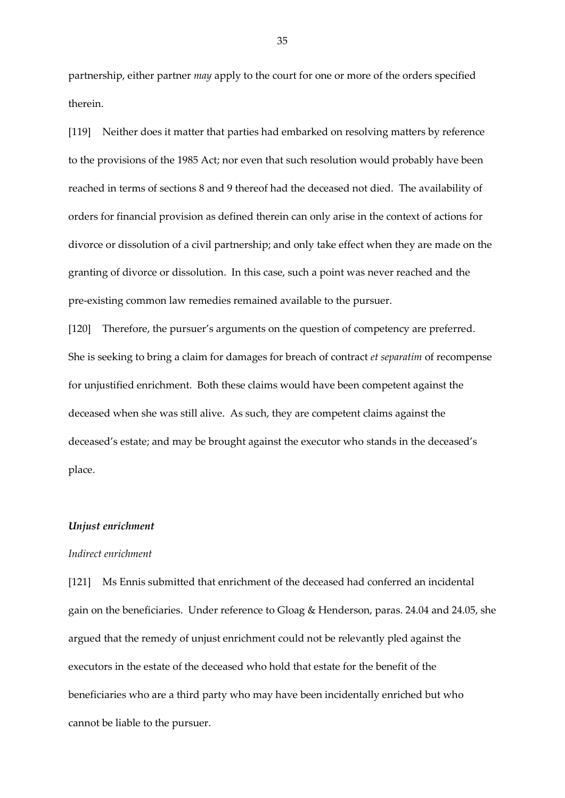partnership, either partner *may* apply to the court for one or more of the orders specified therein.

[119] Neither does it matter that parties had embarked on resolving matters by reference to the provisions of the 1985 Act; nor even that such resolution would probably have been reached in terms of sections 8 and 9 thereof had the deceased not died. The availability of orders for financial provision as defined therein can only arise in the context of actions for divorce or dissolution of a civil partnership; and only take effect when they are made on the granting of divorce or dissolution. In this case, such a point was never reached and the pre-existing common law remedies remained available to the pursuer.

[120] Therefore, the pursuer's arguments on the question of competency are preferred. She is seeking to bring a claim for damages for breach of contract *et separatim* of recompense for unjustified enrichment. Both these claims would have been competent against the deceased when she was still alive. As such, they are competent claims against the deceased's estate; and may be brought against the executor who stands in the deceased's place.

### *Unjust enrichment*

# *Indirect enrichment*

[121] Ms Ennis submitted that enrichment of the deceased had conferred an incidental gain on the beneficiaries. Under reference to Gloag & Henderson, paras. 24.04 and 24.05, she argued that the remedy of unjust enrichment could not be relevantly pled against the executors in the estate of the deceased who hold that estate for the benefit of the beneficiaries who are a third party who may have been incidentally enriched but who cannot be liable to the pursuer.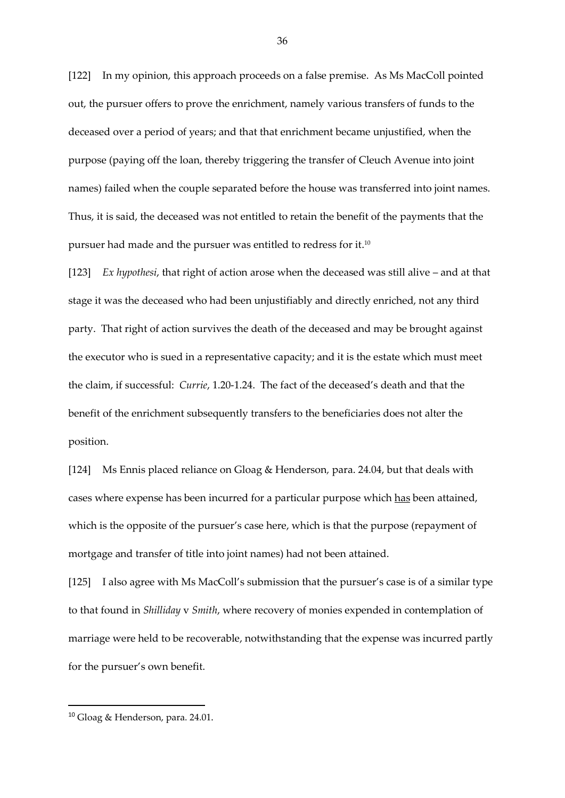[122] In my opinion, this approach proceeds on a false premise. As Ms MacColl pointed out, the pursuer offers to prove the enrichment, namely various transfers of funds to the deceased over a period of years; and that that enrichment became unjustified, when the purpose (paying off the loan, thereby triggering the transfer of Cleuch Avenue into joint names) failed when the couple separated before the house was transferred into joint names. Thus, it is said, the deceased was not entitled to retain the benefit of the payments that the pursuer had made and the pursuer was entitled to redress for it. $^{\scriptscriptstyle 10}$ 

[123] *Ex hypothesi*, that right of action arose when the deceased was still alive – and at that stage it was the deceased who had been unjustifiably and directly enriched, not any third party. That right of action survives the death of the deceased and may be brought against the executor who is sued in a representative capacity; and it is the estate which must meet the claim, if successful: *Currie*, 1.20-1.24. The fact of the deceased's death and that the benefit of the enrichment subsequently transfers to the beneficiaries does not alter the position.

[124] Ms Ennis placed reliance on Gloag & Henderson*,* para. 24.04, but that deals with cases where expense has been incurred for a particular purpose which has been attained, which is the opposite of the pursuer's case here, which is that the purpose (repayment of mortgage and transfer of title into joint names) had not been attained.

[125] I also agree with Ms MacColl's submission that the pursuer's case is of a similar type to that found in *Shilliday* v *Smith*, where recovery of monies expended in contemplation of marriage were held to be recoverable, notwithstanding that the expense was incurred partly for the pursuer's own benefit.

1

<sup>10</sup> Gloag & Henderson, para. 24.01*.*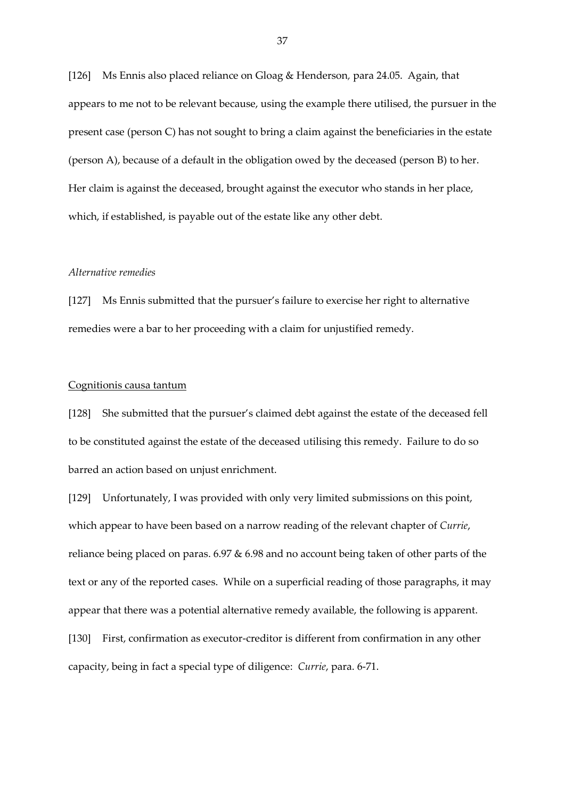[126] Ms Ennis also placed reliance on Gloag & Henderson*,* para 24.05. Again, that appears to me not to be relevant because, using the example there utilised, the pursuer in the present case (person C) has not sought to bring a claim against the beneficiaries in the estate (person A), because of a default in the obligation owed by the deceased (person B) to her. Her claim is against the deceased, brought against the executor who stands in her place, which, if established, is payable out of the estate like any other debt.

### *Alternative remedies*

[127] Ms Ennis submitted that the pursuer's failure to exercise her right to alternative remedies were a bar to her proceeding with a claim for unjustified remedy.

### Cognitionis causa tantum

[128] She submitted that the pursuer's claimed debt against the estate of the deceased fell to be constituted against the estate of the deceased utilising this remedy. Failure to do so barred an action based on unjust enrichment.

[129] Unfortunately, I was provided with only very limited submissions on this point, which appear to have been based on a narrow reading of the relevant chapter of *Currie*, reliance being placed on paras. 6.97 & 6.98 and no account being taken of other parts of the text or any of the reported cases. While on a superficial reading of those paragraphs, it may appear that there was a potential alternative remedy available, the following is apparent. [130] First, confirmation as executor-creditor is different from confirmation in any other capacity, being in fact a special type of diligence: *Currie*, para. 6-71.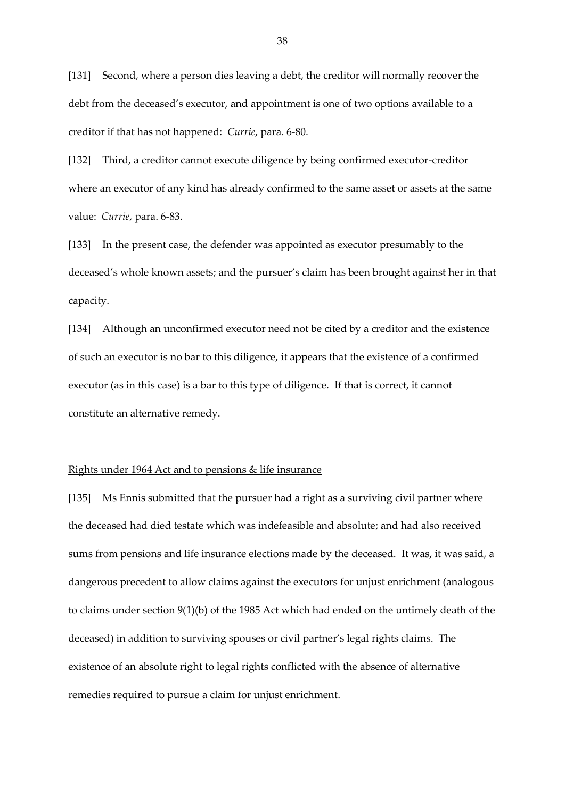[131] Second, where a person dies leaving a debt, the creditor will normally recover the debt from the deceased's executor, and appointment is one of two options available to a creditor if that has not happened: *Currie*, para. 6-80.

[132] Third, a creditor cannot execute diligence by being confirmed executor-creditor where an executor of any kind has already confirmed to the same asset or assets at the same value: *Currie*, para. 6-83.

[133] In the present case, the defender was appointed as executor presumably to the deceased's whole known assets; and the pursuer's claim has been brought against her in that capacity.

[134] Although an unconfirmed executor need not be cited by a creditor and the existence of such an executor is no bar to this diligence, it appears that the existence of a confirmed executor (as in this case) is a bar to this type of diligence. If that is correct, it cannot constitute an alternative remedy.

#### Rights under 1964 Act and to pensions & life insurance

[135] Ms Ennis submitted that the pursuer had a right as a surviving civil partner where the deceased had died testate which was indefeasible and absolute; and had also received sums from pensions and life insurance elections made by the deceased. It was, it was said, a dangerous precedent to allow claims against the executors for unjust enrichment (analogous to claims under section 9(1)(b) of the 1985 Act which had ended on the untimely death of the deceased) in addition to surviving spouses or civil partner's legal rights claims. The existence of an absolute right to legal rights conflicted with the absence of alternative remedies required to pursue a claim for unjust enrichment.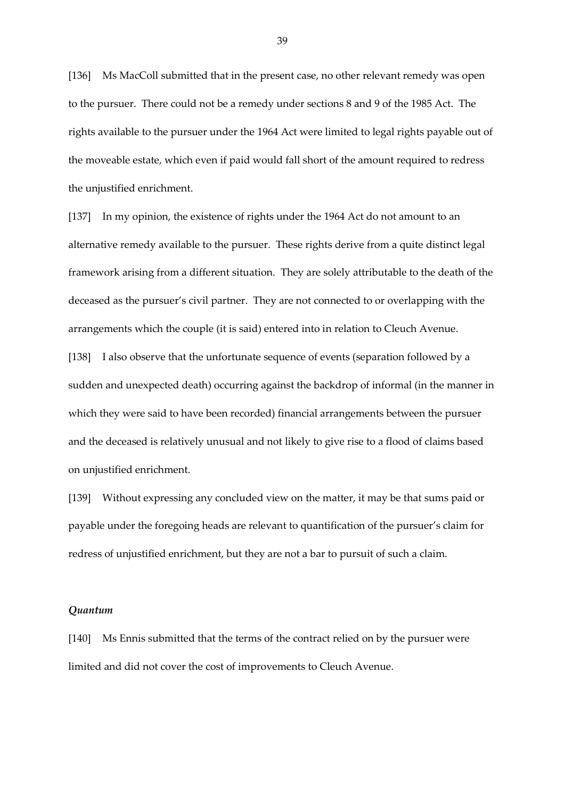[136] Ms MacColl submitted that in the present case, no other relevant remedy was open to the pursuer. There could not be a remedy under sections 8 and 9 of the 1985 Act. The rights available to the pursuer under the 1964 Act were limited to legal rights payable out of the moveable estate, which even if paid would fall short of the amount required to redress the unjustified enrichment.

[137] In my opinion, the existence of rights under the 1964 Act do not amount to an alternative remedy available to the pursuer. These rights derive from a quite distinct legal framework arising from a different situation. They are solely attributable to the death of the deceased as the pursuer's civil partner. They are not connected to or overlapping with the arrangements which the couple (it is said) entered into in relation to Cleuch Avenue.

[138] I also observe that the unfortunate sequence of events (separation followed by a sudden and unexpected death) occurring against the backdrop of informal (in the manner in which they were said to have been recorded) financial arrangements between the pursuer and the deceased is relatively unusual and not likely to give rise to a flood of claims based on unjustified enrichment.

[139] Without expressing any concluded view on the matter, it may be that sums paid or payable under the foregoing heads are relevant to quantification of the pursuer's claim for redress of unjustified enrichment, but they are not a bar to pursuit of such a claim.

### *Quantum*

[140] Ms Ennis submitted that the terms of the contract relied on by the pursuer were limited and did not cover the cost of improvements to Cleuch Avenue.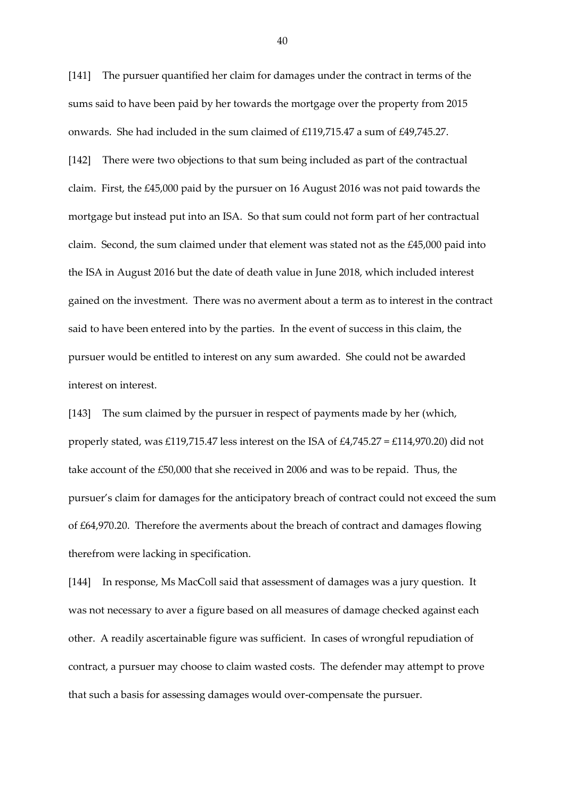[141] The pursuer quantified her claim for damages under the contract in terms of the sums said to have been paid by her towards the mortgage over the property from 2015 onwards. She had included in the sum claimed of £119,715.47 a sum of £49,745.27.

[142] There were two objections to that sum being included as part of the contractual claim. First, the £45,000 paid by the pursuer on 16 August 2016 was not paid towards the mortgage but instead put into an ISA. So that sum could not form part of her contractual claim. Second, the sum claimed under that element was stated not as the £45,000 paid into the ISA in August 2016 but the date of death value in June 2018, which included interest gained on the investment. There was no averment about a term as to interest in the contract said to have been entered into by the parties. In the event of success in this claim, the pursuer would be entitled to interest on any sum awarded. She could not be awarded interest on interest.

[143] The sum claimed by the pursuer in respect of payments made by her (which, properly stated, was £119,715.47 less interest on the ISA of £4,745.27 = £114,970.20) did not take account of the £50,000 that she received in 2006 and was to be repaid. Thus, the pursuer's claim for damages for the anticipatory breach of contract could not exceed the sum of £64,970.20. Therefore the averments about the breach of contract and damages flowing therefrom were lacking in specification.

[144] In response, Ms MacColl said that assessment of damages was a jury question. It was not necessary to aver a figure based on all measures of damage checked against each other. A readily ascertainable figure was sufficient. In cases of wrongful repudiation of contract, a pursuer may choose to claim wasted costs. The defender may attempt to prove that such a basis for assessing damages would over-compensate the pursuer.

40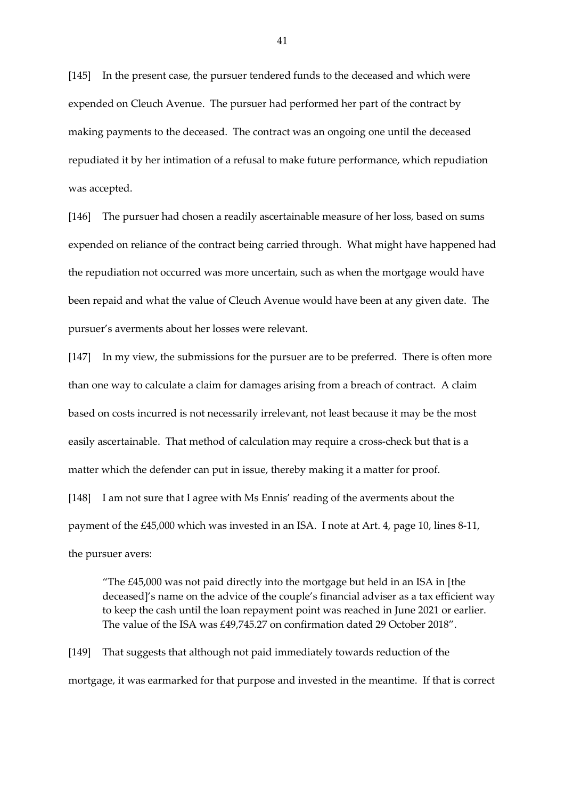[145] In the present case, the pursuer tendered funds to the deceased and which were expended on Cleuch Avenue. The pursuer had performed her part of the contract by making payments to the deceased. The contract was an ongoing one until the deceased repudiated it by her intimation of a refusal to make future performance, which repudiation was accepted.

[146] The pursuer had chosen a readily ascertainable measure of her loss, based on sums expended on reliance of the contract being carried through. What might have happened had the repudiation not occurred was more uncertain, such as when the mortgage would have been repaid and what the value of Cleuch Avenue would have been at any given date. The pursuer's averments about her losses were relevant.

[147] In my view, the submissions for the pursuer are to be preferred. There is often more than one way to calculate a claim for damages arising from a breach of contract. A claim based on costs incurred is not necessarily irrelevant, not least because it may be the most easily ascertainable. That method of calculation may require a cross-check but that is a matter which the defender can put in issue, thereby making it a matter for proof. [148] I am not sure that I agree with Ms Ennis' reading of the averments about the payment of the £45,000 which was invested in an ISA. I note at Art. 4, page 10, lines 8-11, the pursuer avers:

"The £45,000 was not paid directly into the mortgage but held in an ISA in [the deceased]'s name on the advice of the couple's financial adviser as a tax efficient way to keep the cash until the loan repayment point was reached in June 2021 or earlier. The value of the ISA was £49,745.27 on confirmation dated 29 October 2018".

[149] That suggests that although not paid immediately towards reduction of the mortgage, it was earmarked for that purpose and invested in the meantime. If that is correct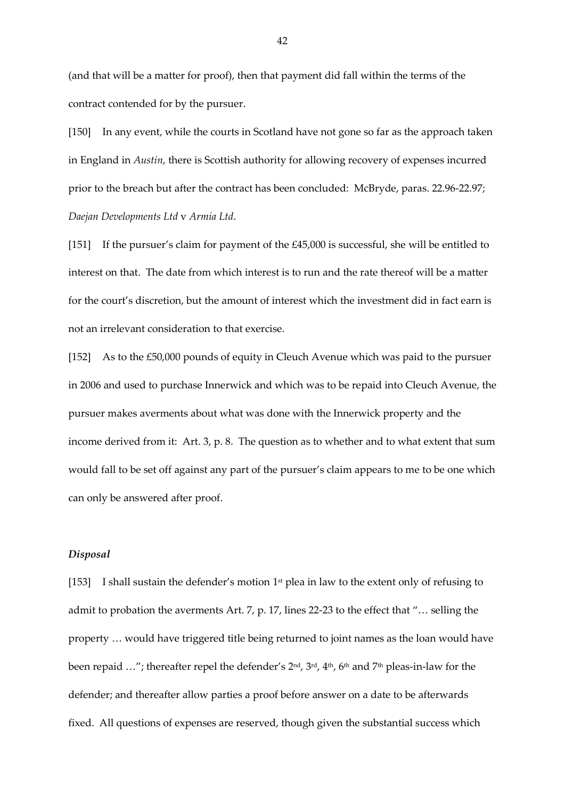(and that will be a matter for proof), then that payment did fall within the terms of the contract contended for by the pursuer.

[150] In any event, while the courts in Scotland have not gone so far as the approach taken in England in *Austin*, there is Scottish authority for allowing recovery of expenses incurred prior to the breach but after the contract has been concluded: McBryde, paras. 22.96-22.97; *Daejan Developments Ltd* v *Armia Ltd*.

[151] If the pursuer's claim for payment of the £45,000 is successful, she will be entitled to interest on that. The date from which interest is to run and the rate thereof will be a matter for the court's discretion, but the amount of interest which the investment did in fact earn is not an irrelevant consideration to that exercise.

[152] As to the £50,000 pounds of equity in Cleuch Avenue which was paid to the pursuer in 2006 and used to purchase Innerwick and which was to be repaid into Cleuch Avenue, the pursuer makes averments about what was done with the Innerwick property and the income derived from it: Art. 3, p. 8. The question as to whether and to what extent that sum would fall to be set off against any part of the pursuer's claim appears to me to be one which can only be answered after proof.

# *Disposal*

[153] I shall sustain the defender's motion  $1<sup>st</sup>$  plea in law to the extent only of refusing to admit to probation the averments Art. 7, p. 17, lines 22-23 to the effect that "… selling the property … would have triggered title being returned to joint names as the loan would have been repaid ..."; thereafter repel the defender's 2nd, 3rd, 4<sup>th</sup>, 6<sup>th</sup> and 7<sup>th</sup> pleas-in-law for the defender; and thereafter allow parties a proof before answer on a date to be afterwards fixed. All questions of expenses are reserved, though given the substantial success which

42